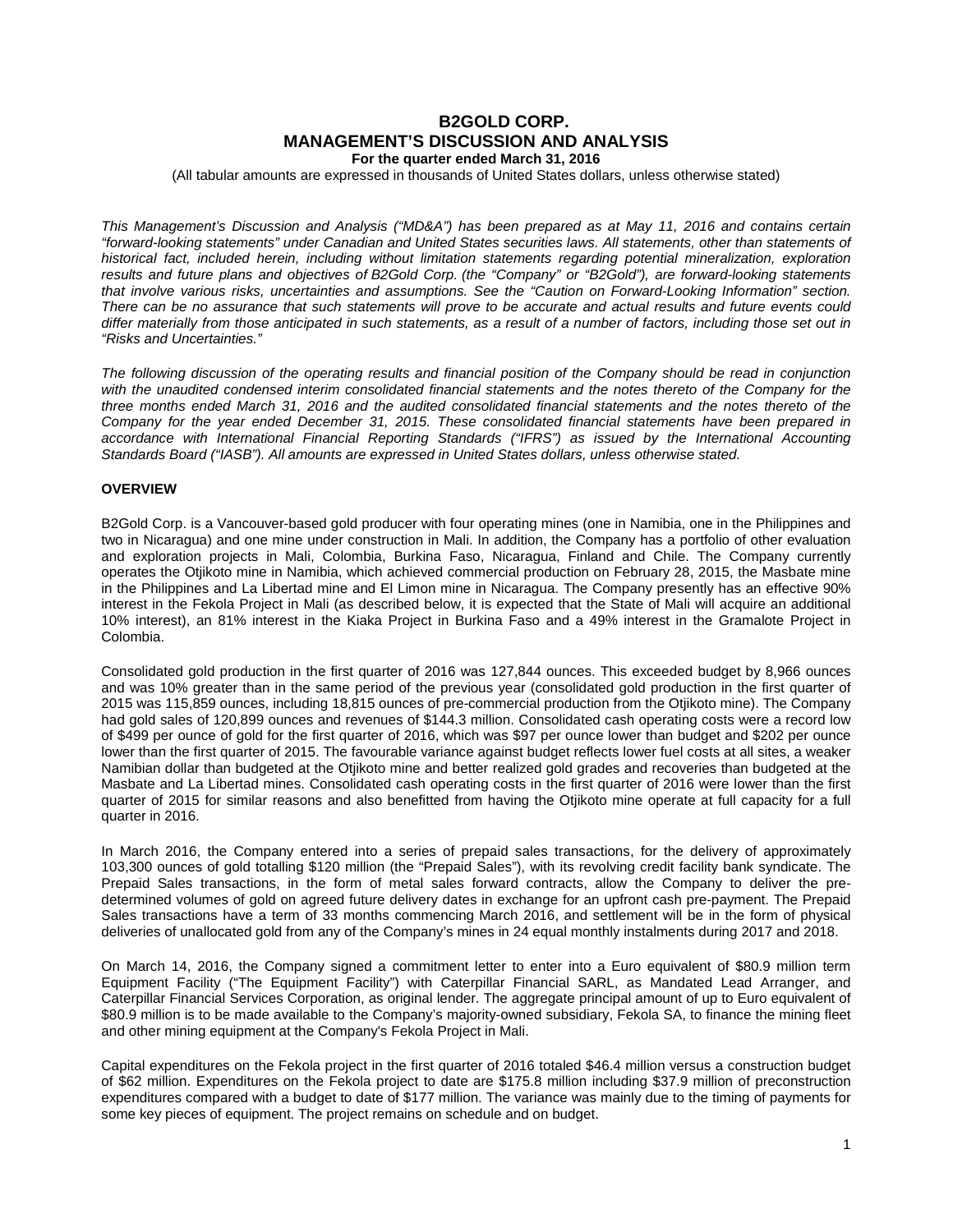# **B2GOLD CORP. MANAGEMENT'S DISCUSSION AND ANALYSIS For the quarter ended March 31, 2016**

(All tabular amounts are expressed in thousands of United States dollars, unless otherwise stated)

*This Management's Discussion and Analysis ("MD&A") has been prepared as at May 11, 2016 and contains certain "forward-looking statements" under Canadian and United States securities laws. All statements, other than statements of historical fact, included herein, including without limitation statements regarding potential mineralization, exploration results and future plans and objectives of B2Gold Corp. (the "Company" or "B2Gold"), are forward-looking statements that involve various risks, uncertainties and assumptions. See the "Caution on Forward-Looking Information" section. There can be no assurance that such statements will prove to be accurate and actual results and future events could differ materially from those anticipated in such statements, as a result of a number of factors, including those set out in "Risks and Uncertainties."*

*The following discussion of the operating results and financial position of the Company should be read in conjunction*  with the unaudited condensed interim consolidated financial statements and the notes thereto of the Company for the *three months ended March 31, 2016 and the audited consolidated financial statements and the notes thereto of the Company for the year ended December 31, 2015. These consolidated financial statements have been prepared in*  accordance with International Financial Reporting Standards ("IFRS") as issued by the International Accounting *Standards Board ("IASB"). All amounts are expressed in United States dollars, unless otherwise stated.*

## **OVERVIEW**

B2Gold Corp. is a Vancouver-based gold producer with four operating mines (one in Namibia, one in the Philippines and two in Nicaragua) and one mine under construction in Mali. In addition, the Company has a portfolio of other evaluation and exploration projects in Mali, Colombia, Burkina Faso, Nicaragua, Finland and Chile. The Company currently operates the Otjikoto mine in Namibia, which achieved commercial production on February 28, 2015, the Masbate mine in the Philippines and La Libertad mine and El Limon mine in Nicaragua. The Company presently has an effective 90% interest in the Fekola Project in Mali (as described below, it is expected that the State of Mali will acquire an additional 10% interest), an 81% interest in the Kiaka Project in Burkina Faso and a 49% interest in the Gramalote Project in Colombia.

Consolidated gold production in the first quarter of 2016 was 127,844 ounces. This exceeded budget by 8,966 ounces and was 10% greater than in the same period of the previous year (consolidated gold production in the first quarter of 2015 was 115,859 ounces, including 18,815 ounces of pre-commercial production from the Otjikoto mine). The Company had gold sales of 120,899 ounces and revenues of \$144.3 million. Consolidated cash operating costs were a record low of \$499 per ounce of gold for the first quarter of 2016, which was \$97 per ounce lower than budget and \$202 per ounce lower than the first quarter of 2015. The favourable variance against budget reflects lower fuel costs at all sites, a weaker Namibian dollar than budgeted at the Otjikoto mine and better realized gold grades and recoveries than budgeted at the Masbate and La Libertad mines. Consolidated cash operating costs in the first quarter of 2016 were lower than the first quarter of 2015 for similar reasons and also benefitted from having the Otjikoto mine operate at full capacity for a full quarter in 2016.

In March 2016, the Company entered into a series of prepaid sales transactions, for the delivery of approximately 103,300 ounces of gold totalling \$120 million (the "Prepaid Sales"), with its revolving credit facility bank syndicate. The Prepaid Sales transactions, in the form of metal sales forward contracts, allow the Company to deliver the predetermined volumes of gold on agreed future delivery dates in exchange for an upfront cash pre-payment. The Prepaid Sales transactions have a term of 33 months commencing March 2016, and settlement will be in the form of physical deliveries of unallocated gold from any of the Company's mines in 24 equal monthly instalments during 2017 and 2018.

On March 14, 2016, the Company signed a commitment letter to enter into a Euro equivalent of \$80.9 million term Equipment Facility ("The Equipment Facility") with Caterpillar Financial SARL, as Mandated Lead Arranger, and Caterpillar Financial Services Corporation, as original lender. The aggregate principal amount of up to Euro equivalent of \$80.9 million is to be made available to the Company's majority-owned subsidiary, Fekola SA, to finance the mining fleet and other mining equipment at the Company's Fekola Project in Mali.

Capital expenditures on the Fekola project in the first quarter of 2016 totaled \$46.4 million versus a construction budget of \$62 million. Expenditures on the Fekola project to date are \$175.8 million including \$37.9 million of preconstruction expenditures compared with a budget to date of \$177 million. The variance was mainly due to the timing of payments for some key pieces of equipment. The project remains on schedule and on budget.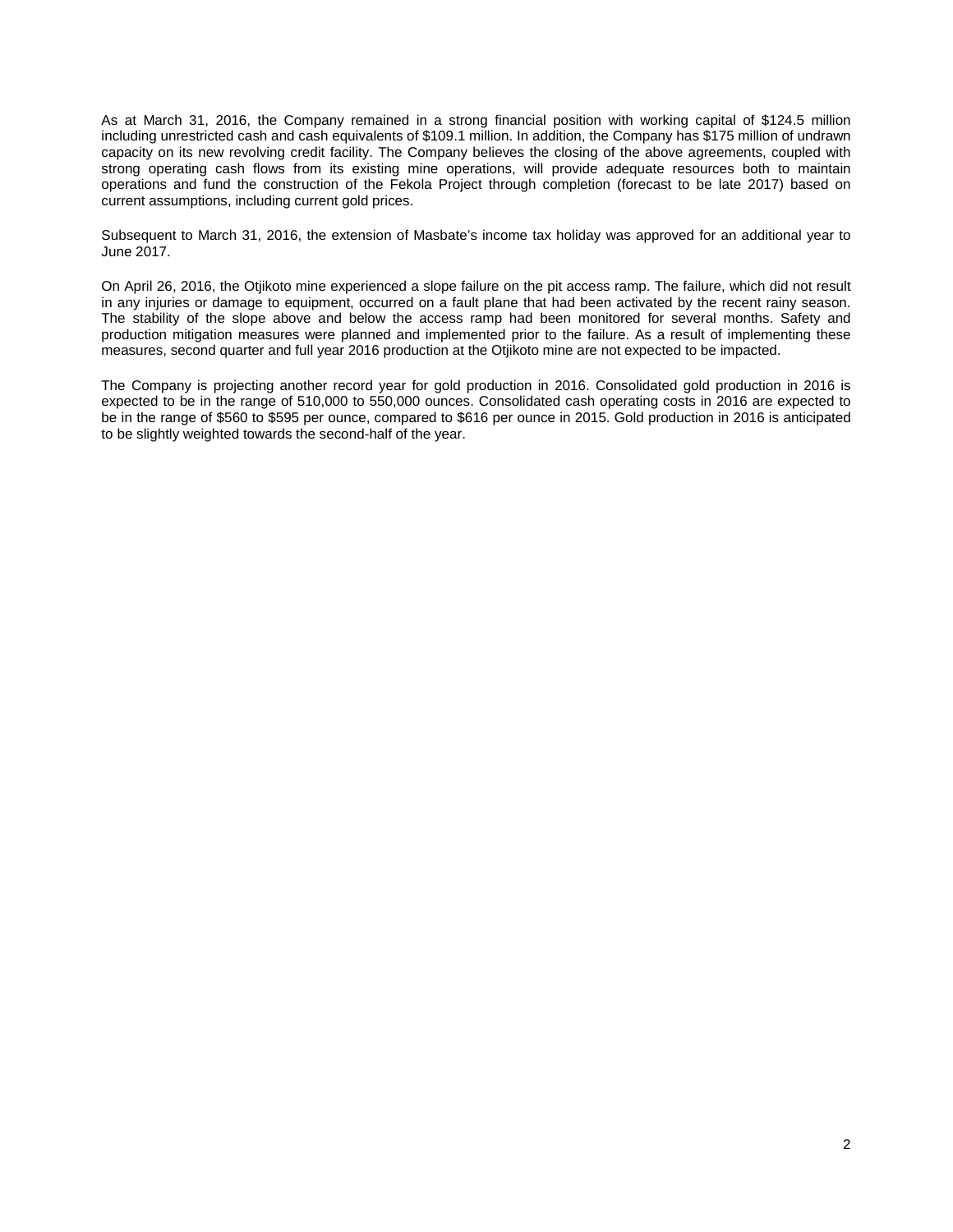As at March 31, 2016, the Company remained in a strong financial position with working capital of \$124.5 million including unrestricted cash and cash equivalents of \$109.1 million. In addition, the Company has \$175 million of undrawn capacity on its new revolving credit facility. The Company believes the closing of the above agreements, coupled with strong operating cash flows from its existing mine operations, will provide adequate resources both to maintain operations and fund the construction of the Fekola Project through completion (forecast to be late 2017) based on current assumptions, including current gold prices.

Subsequent to March 31, 2016, the extension of Masbate's income tax holiday was approved for an additional year to June 2017.

On April 26, 2016, the Otjikoto mine experienced a slope failure on the pit access ramp. The failure, which did not result in any injuries or damage to equipment, occurred on a fault plane that had been activated by the recent rainy season. The stability of the slope above and below the access ramp had been monitored for several months. Safety and production mitigation measures were planned and implemented prior to the failure. As a result of implementing these measures, second quarter and full year 2016 production at the Otjikoto mine are not expected to be impacted.

The Company is projecting another record year for gold production in 2016. Consolidated gold production in 2016 is expected to be in the range of 510,000 to 550,000 ounces. Consolidated cash operating costs in 2016 are expected to be in the range of \$560 to \$595 per ounce, compared to \$616 per ounce in 2015. Gold production in 2016 is anticipated to be slightly weighted towards the second-half of the year.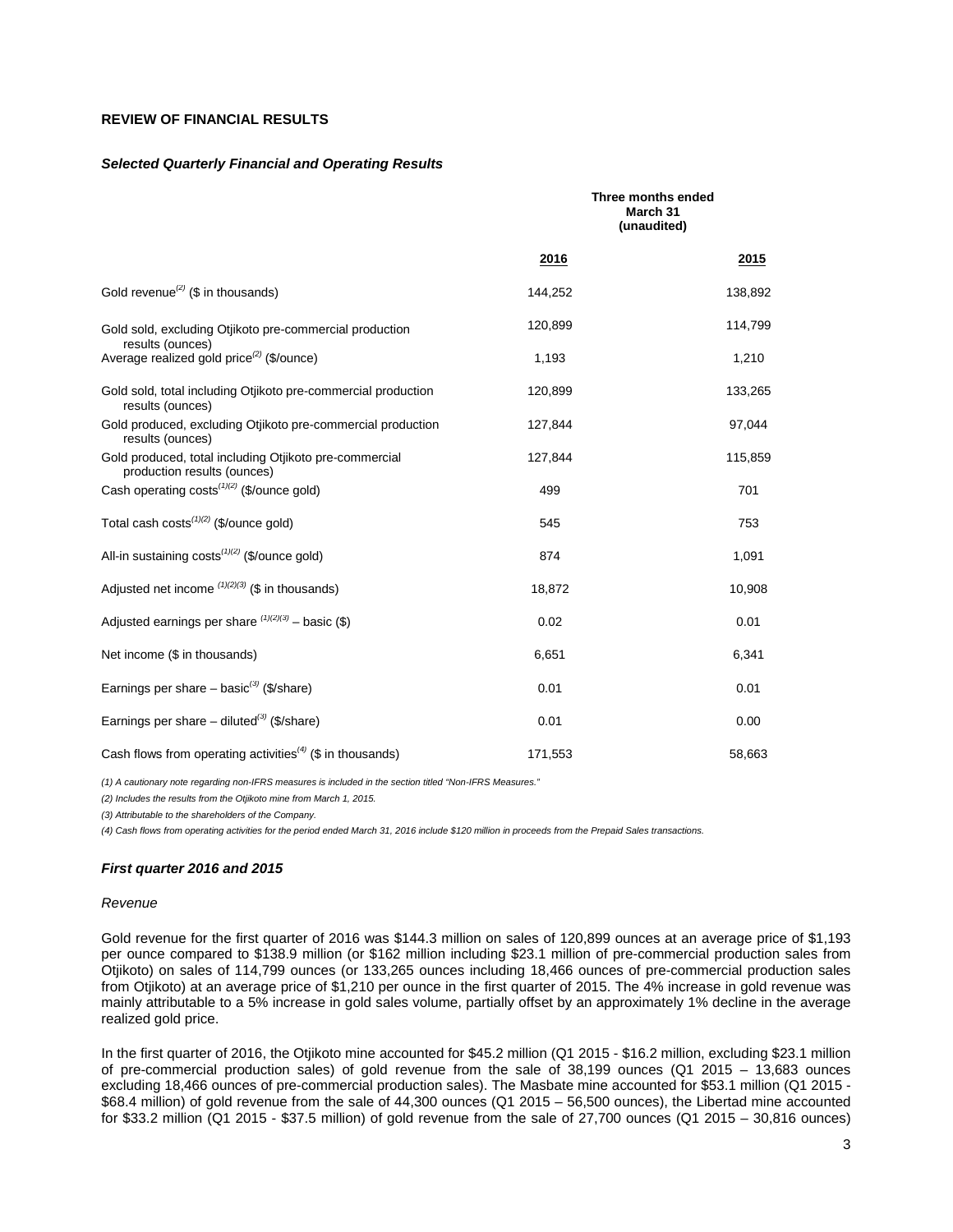## **REVIEW OF FINANCIAL RESULTS**

#### *Selected Quarterly Financial and Operating Results*

|                                                                                       | Three months ended<br>March 31<br>(unaudited) |         |
|---------------------------------------------------------------------------------------|-----------------------------------------------|---------|
|                                                                                       | 2016                                          | 2015    |
| Gold revenue <sup>(2)</sup> (\$ in thousands)                                         | 144,252                                       | 138,892 |
| Gold sold, excluding Otjikoto pre-commercial production<br>results (ounces)           | 120,899                                       | 114,799 |
| Average realized gold price <sup>(2)</sup> (\$/ounce)                                 | 1,193                                         | 1,210   |
| Gold sold, total including Otjikoto pre-commercial production<br>results (ounces)     | 120,899                                       | 133,265 |
| Gold produced, excluding Otjikoto pre-commercial production<br>results (ounces)       | 127,844                                       | 97,044  |
| Gold produced, total including Otjikoto pre-commercial<br>production results (ounces) | 127,844                                       | 115,859 |
| Cash operating $costs^{(1)(2)}$ (\$/ounce gold)                                       | 499                                           | 701     |
| Total cash costs $(1)(2)$ (\$/ounce gold)                                             | 545                                           | 753     |
| All-in sustaining $costs^{(1)(2)}$ (\$/ounce gold)                                    | 874                                           | 1,091   |
| Adjusted net income $(1)(2)(3)$ (\$ in thousands)                                     | 18,872                                        | 10,908  |
| Adjusted earnings per share $(1)(2)(3)$ – basic (\$)                                  | 0.02                                          | 0.01    |
| Net income (\$ in thousands)                                                          | 6,651                                         | 6,341   |
| Earnings per share – basic <sup>(3)</sup> (\$/share)                                  | 0.01                                          | 0.01    |
| Earnings per share – diluted <sup>(3)</sup> (\$/share)                                | 0.01                                          | 0.00    |
| Cash flows from operating activities <sup>(4)</sup> (\$ in thousands)                 | 171,553                                       | 58,663  |

*(1) A cautionary note regarding non-IFRS measures is included in the section titled "Non-IFRS Measures."* 

*(2) Includes the results from the Otjikoto mine from March 1, 2015.*

*(3) Attributable to the shareholders of the Company.*

*(4) Cash flows from operating activities for the period ended March 31, 2016 include \$120 million in proceeds from the Prepaid Sales transactions.*

### *First quarter 2016 and 2015*

#### *Revenue*

Gold revenue for the first quarter of 2016 was \$144.3 million on sales of 120,899 ounces at an average price of \$1,193 per ounce compared to \$138.9 million (or \$162 million including \$23.1 million of pre-commercial production sales from Otjikoto) on sales of 114,799 ounces (or 133,265 ounces including 18,466 ounces of pre-commercial production sales from Otjikoto) at an average price of \$1,210 per ounce in the first quarter of 2015. The 4% increase in gold revenue was mainly attributable to a 5% increase in gold sales volume, partially offset by an approximately 1% decline in the average realized gold price.

In the first quarter of 2016, the Otjikoto mine accounted for \$45.2 million (Q1 2015 - \$16.2 million, excluding \$23.1 million of pre-commercial production sales) of gold revenue from the sale of 38,199 ounces (Q1 2015 – 13,683 ounces excluding 18,466 ounces of pre-commercial production sales). The Masbate mine accounted for \$53.1 million (Q1 2015 - \$68.4 million) of gold revenue from the sale of 44,300 ounces (Q1 2015 – 56,500 ounces), the Libertad mine accounted for \$33.2 million (Q1 2015 - \$37.5 million) of gold revenue from the sale of 27,700 ounces (Q1 2015 – 30,816 ounces)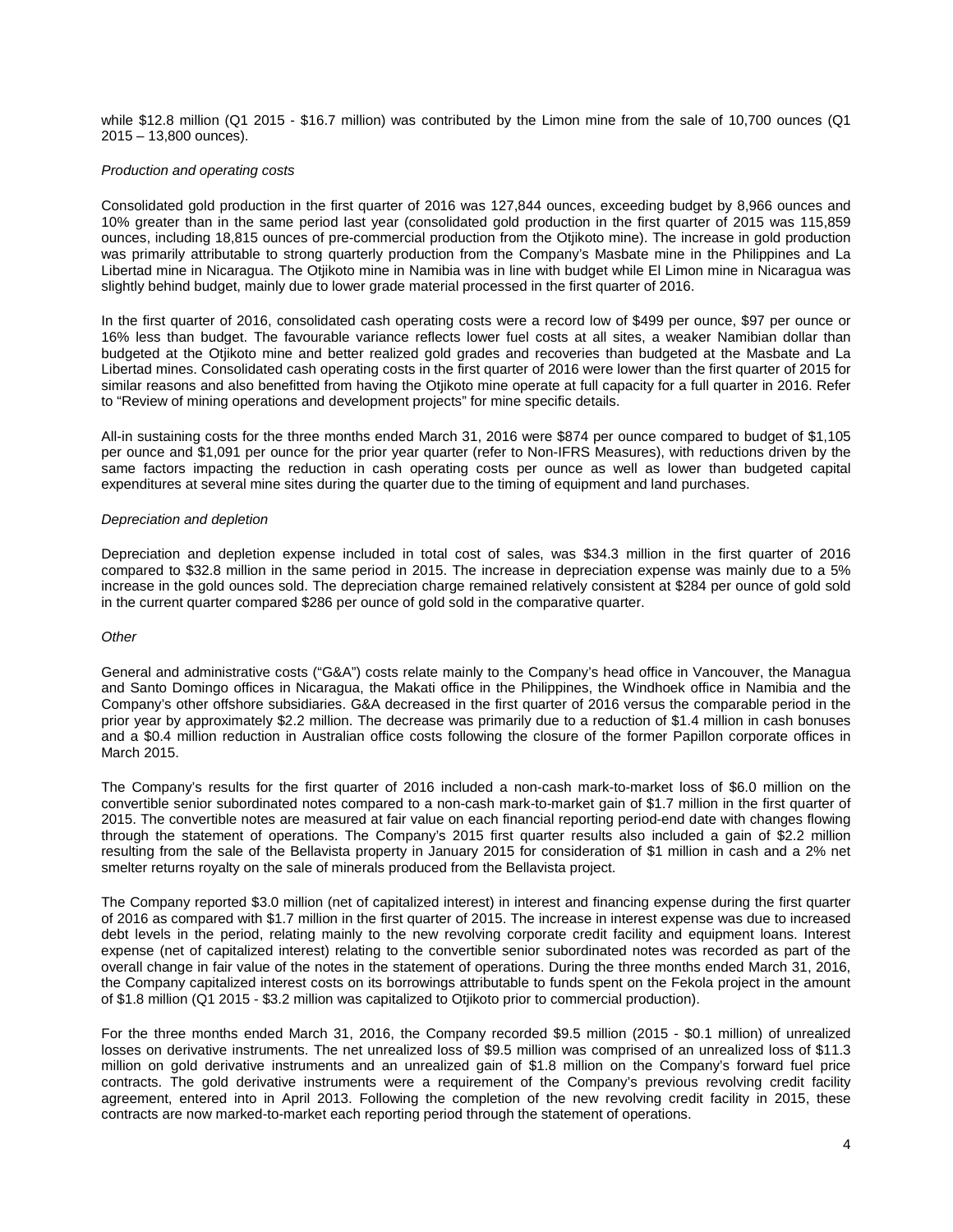while \$12.8 million (Q1 2015 - \$16.7 million) was contributed by the Limon mine from the sale of 10,700 ounces (Q1 2015 – 13,800 ounces).

### *Production and operating costs*

Consolidated gold production in the first quarter of 2016 was 127,844 ounces, exceeding budget by 8,966 ounces and 10% greater than in the same period last year (consolidated gold production in the first quarter of 2015 was 115,859 ounces, including 18,815 ounces of pre-commercial production from the Otjikoto mine). The increase in gold production was primarily attributable to strong quarterly production from the Company's Masbate mine in the Philippines and La Libertad mine in Nicaragua. The Otjikoto mine in Namibia was in line with budget while El Limon mine in Nicaragua was slightly behind budget, mainly due to lower grade material processed in the first quarter of 2016.

In the first quarter of 2016, consolidated cash operating costs were a record low of \$499 per ounce, \$97 per ounce or 16% less than budget. The favourable variance reflects lower fuel costs at all sites, a weaker Namibian dollar than budgeted at the Otjikoto mine and better realized gold grades and recoveries than budgeted at the Masbate and La Libertad mines. Consolidated cash operating costs in the first quarter of 2016 were lower than the first quarter of 2015 for similar reasons and also benefitted from having the Otjikoto mine operate at full capacity for a full quarter in 2016. Refer to "Review of mining operations and development projects" for mine specific details.

All-in sustaining costs for the three months ended March 31, 2016 were \$874 per ounce compared to budget of \$1,105 per ounce and \$1,091 per ounce for the prior year quarter (refer to Non-IFRS Measures), with reductions driven by the same factors impacting the reduction in cash operating costs per ounce as well as lower than budgeted capital expenditures at several mine sites during the quarter due to the timing of equipment and land purchases.

### *Depreciation and depletion*

Depreciation and depletion expense included in total cost of sales, was \$34.3 million in the first quarter of 2016 compared to \$32.8 million in the same period in 2015. The increase in depreciation expense was mainly due to a 5% increase in the gold ounces sold. The depreciation charge remained relatively consistent at \$284 per ounce of gold sold in the current quarter compared \$286 per ounce of gold sold in the comparative quarter.

### *Other*

General and administrative costs ("G&A") costs relate mainly to the Company's head office in Vancouver, the Managua and Santo Domingo offices in Nicaragua, the Makati office in the Philippines, the Windhoek office in Namibia and the Company's other offshore subsidiaries. G&A decreased in the first quarter of 2016 versus the comparable period in the prior year by approximately \$2.2 million. The decrease was primarily due to a reduction of \$1.4 million in cash bonuses and a \$0.4 million reduction in Australian office costs following the closure of the former Papillon corporate offices in March 2015.

The Company's results for the first quarter of 2016 included a non-cash mark-to-market loss of \$6.0 million on the convertible senior subordinated notes compared to a non-cash mark-to-market gain of \$1.7 million in the first quarter of 2015. The convertible notes are measured at fair value on each financial reporting period-end date with changes flowing through the statement of operations. The Company's 2015 first quarter results also included a gain of \$2.2 million resulting from the sale of the Bellavista property in January 2015 for consideration of \$1 million in cash and a 2% net smelter returns royalty on the sale of minerals produced from the Bellavista project.

The Company reported \$3.0 million (net of capitalized interest) in interest and financing expense during the first quarter of 2016 as compared with \$1.7 million in the first quarter of 2015. The increase in interest expense was due to increased debt levels in the period, relating mainly to the new revolving corporate credit facility and equipment loans. Interest expense (net of capitalized interest) relating to the convertible senior subordinated notes was recorded as part of the overall change in fair value of the notes in the statement of operations. During the three months ended March 31, 2016, the Company capitalized interest costs on its borrowings attributable to funds spent on the Fekola project in the amount of \$1.8 million (Q1 2015 - \$3.2 million was capitalized to Otjikoto prior to commercial production).

For the three months ended March 31, 2016, the Company recorded \$9.5 million (2015 - \$0.1 million) of unrealized losses on derivative instruments. The net unrealized loss of \$9.5 million was comprised of an unrealized loss of \$11.3 million on gold derivative instruments and an unrealized gain of \$1.8 million on the Company's forward fuel price contracts. The gold derivative instruments were a requirement of the Company's previous revolving credit facility agreement, entered into in April 2013. Following the completion of the new revolving credit facility in 2015, these contracts are now marked-to-market each reporting period through the statement of operations.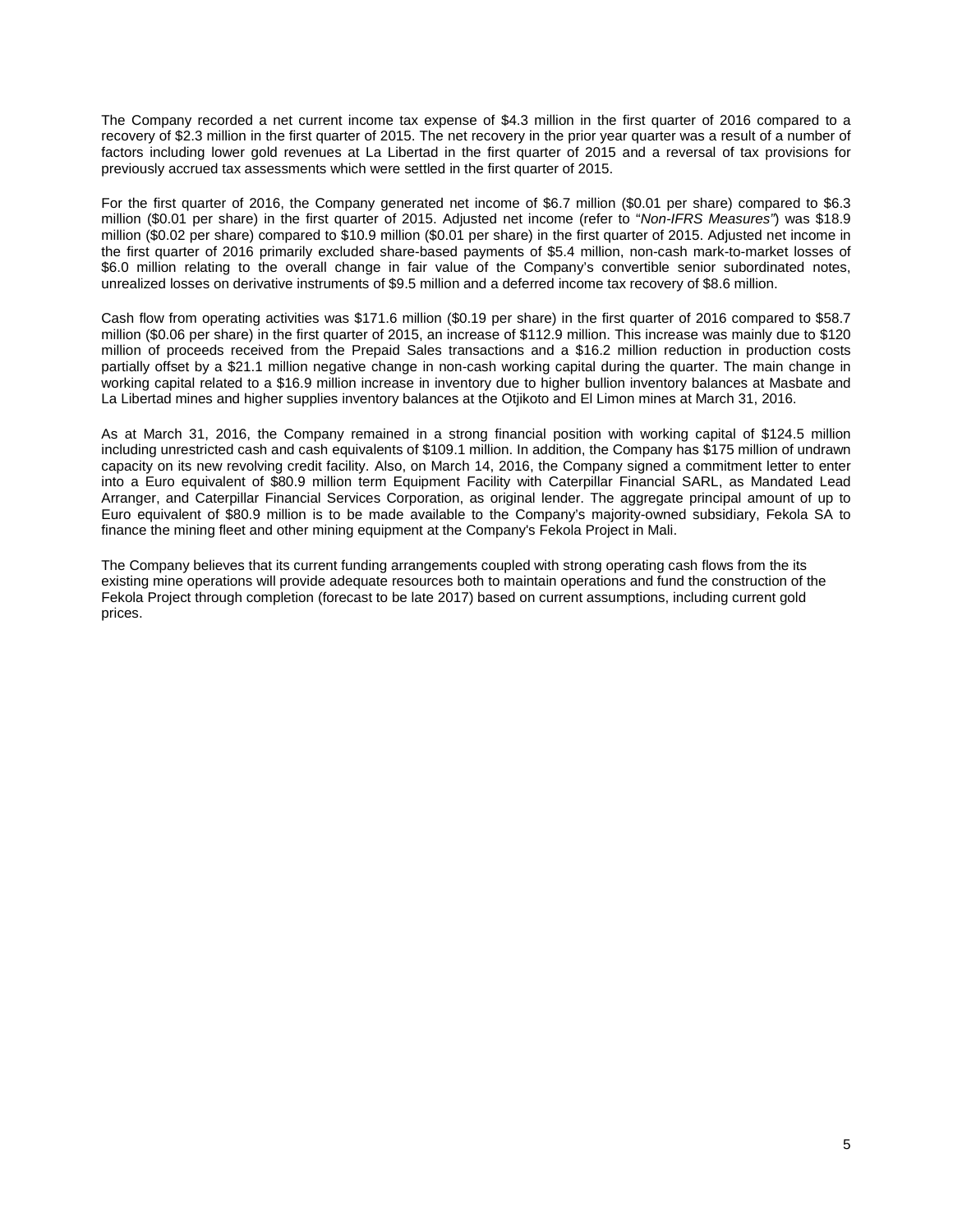The Company recorded a net current income tax expense of \$4.3 million in the first quarter of 2016 compared to a recovery of \$2.3 million in the first quarter of 2015. The net recovery in the prior year quarter was a result of a number of factors including lower gold revenues at La Libertad in the first quarter of 2015 and a reversal of tax provisions for previously accrued tax assessments which were settled in the first quarter of 2015.

For the first quarter of 2016, the Company generated net income of \$6.7 million (\$0.01 per share) compared to \$6.3 million (\$0.01 per share) in the first quarter of 2015. Adjusted net income (refer to "*Non-IFRS Measures"*) was \$18.9 million (\$0.02 per share) compared to \$10.9 million (\$0.01 per share) in the first quarter of 2015. Adjusted net income in the first quarter of 2016 primarily excluded share-based payments of \$5.4 million, non-cash mark-to-market losses of \$6.0 million relating to the overall change in fair value of the Company's convertible senior subordinated notes, unrealized losses on derivative instruments of \$9.5 million and a deferred income tax recovery of \$8.6 million.

Cash flow from operating activities was \$171.6 million (\$0.19 per share) in the first quarter of 2016 compared to \$58.7 million (\$0.06 per share) in the first quarter of 2015, an increase of \$112.9 million. This increase was mainly due to \$120 million of proceeds received from the Prepaid Sales transactions and a \$16.2 million reduction in production costs partially offset by a \$21.1 million negative change in non-cash working capital during the quarter. The main change in working capital related to a \$16.9 million increase in inventory due to higher bullion inventory balances at Masbate and La Libertad mines and higher supplies inventory balances at the Otjikoto and El Limon mines at March 31, 2016.

As at March 31, 2016, the Company remained in a strong financial position with working capital of \$124.5 million including unrestricted cash and cash equivalents of \$109.1 million. In addition, the Company has \$175 million of undrawn capacity on its new revolving credit facility. Also, on March 14, 2016, the Company signed a commitment letter to enter into a Euro equivalent of \$80.9 million term Equipment Facility with Caterpillar Financial SARL, as Mandated Lead Arranger, and Caterpillar Financial Services Corporation, as original lender. The aggregate principal amount of up to Euro equivalent of \$80.9 million is to be made available to the Company's majority-owned subsidiary, Fekola SA to finance the mining fleet and other mining equipment at the Company's Fekola Project in Mali.

The Company believes that its current funding arrangements coupled with strong operating cash flows from the its existing mine operations will provide adequate resources both to maintain operations and fund the construction of the Fekola Project through completion (forecast to be late 2017) based on current assumptions, including current gold prices.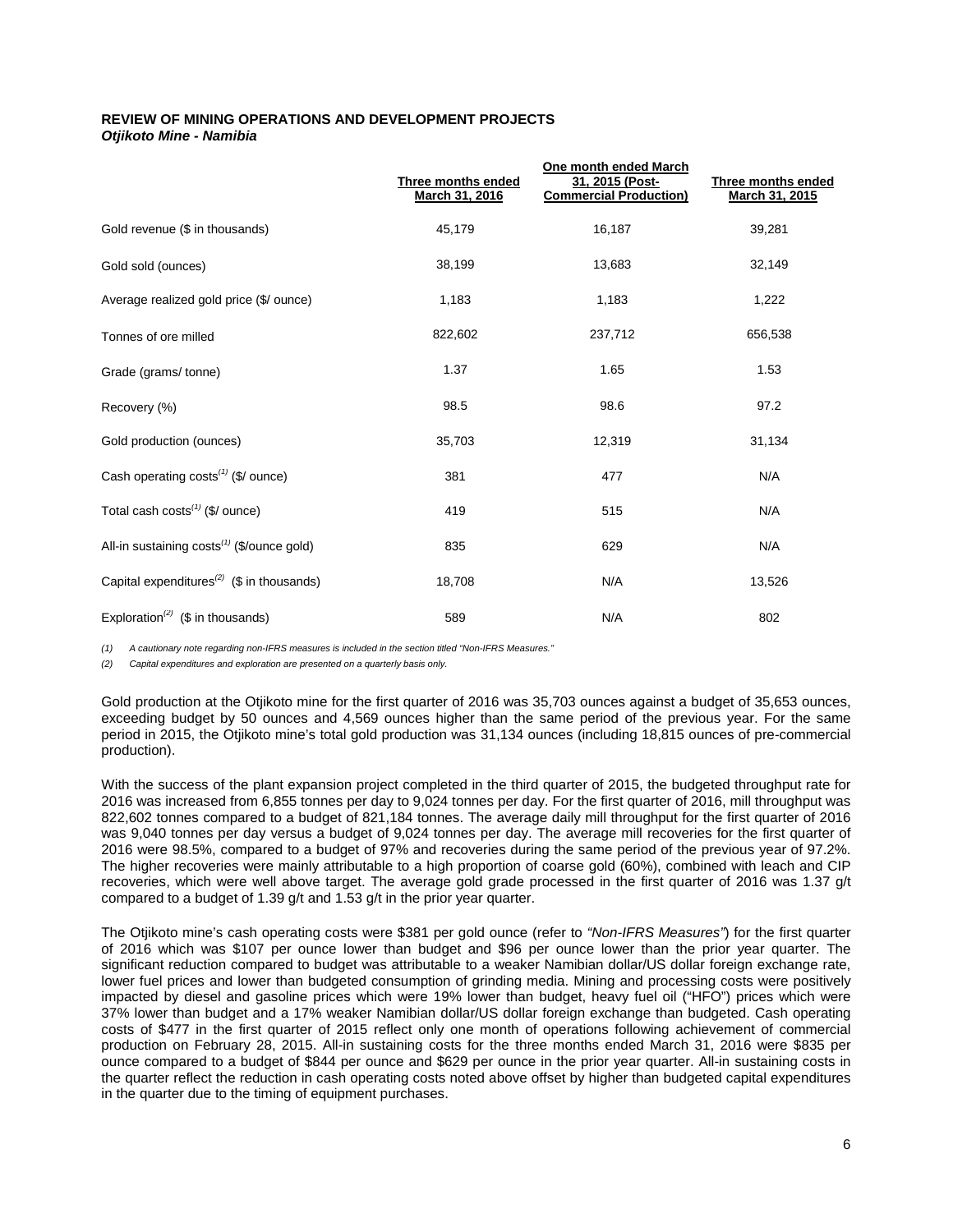## **REVIEW OF MINING OPERATIONS AND DEVELOPMENT PROJECTS**  *Otjikoto Mine - Namibia*

|                                                        | <b>Three months ended</b><br>March 31, 2016 | <b>One month ended March</b><br>31, 2015 (Post-<br><b>Commercial Production)</b> | <b>Three months ended</b><br>March 31, 2015 |
|--------------------------------------------------------|---------------------------------------------|----------------------------------------------------------------------------------|---------------------------------------------|
| Gold revenue (\$ in thousands)                         | 45,179                                      | 16,187                                                                           | 39,281                                      |
| Gold sold (ounces)                                     | 38,199                                      | 13,683                                                                           | 32,149                                      |
| Average realized gold price (\$/ ounce)                | 1,183                                       | 1,183                                                                            | 1,222                                       |
| Tonnes of ore milled                                   | 822,602                                     | 237,712                                                                          | 656,538                                     |
| Grade (grams/tonne)                                    | 1.37                                        | 1.65                                                                             | 1.53                                        |
| Recovery (%)                                           | 98.5                                        | 98.6                                                                             | 97.2                                        |
| Gold production (ounces)                               | 35,703                                      | 12,319                                                                           | 31,134                                      |
| Cash operating costs $(1)$ (\$/ ounce)                 | 381                                         | 477                                                                              | N/A                                         |
| Total cash $costs^{(1)}$ (\$/ ounce)                   | 419                                         | 515                                                                              | N/A                                         |
| All-in sustaining costs <sup>(1)</sup> (\$/ounce gold) | 835                                         | 629                                                                              | N/A                                         |
| Capital expenditures <sup>(2)</sup> (\$ in thousands)  | 18,708                                      | N/A                                                                              | 13,526                                      |
| Exploration <sup>(2)</sup> (\$ in thousands)           | 589                                         | N/A                                                                              | 802                                         |

*(1) A cautionary note regarding non-IFRS measures is included in the section titled "Non-IFRS Measures."*

*(2) Capital expenditures and exploration are presented on a quarterly basis only.*

Gold production at the Otjikoto mine for the first quarter of 2016 was 35,703 ounces against a budget of 35,653 ounces, exceeding budget by 50 ounces and 4,569 ounces higher than the same period of the previous year. For the same period in 2015, the Otjikoto mine's total gold production was 31,134 ounces (including 18,815 ounces of pre-commercial production).

With the success of the plant expansion project completed in the third quarter of 2015, the budgeted throughput rate for 2016 was increased from 6,855 tonnes per day to 9,024 tonnes per day. For the first quarter of 2016, mill throughput was 822,602 tonnes compared to a budget of 821,184 tonnes. The average daily mill throughput for the first quarter of 2016 was 9,040 tonnes per day versus a budget of 9,024 tonnes per day. The average mill recoveries for the first quarter of 2016 were 98.5%, compared to a budget of 97% and recoveries during the same period of the previous year of 97.2%. The higher recoveries were mainly attributable to a high proportion of coarse gold (60%), combined with leach and CIP recoveries, which were well above target. The average gold grade processed in the first quarter of 2016 was 1.37 g/t compared to a budget of 1.39 g/t and 1.53 g/t in the prior year quarter.

The Otjikoto mine's cash operating costs were \$381 per gold ounce (refer to *"Non-IFRS Measures"*) for the first quarter of 2016 which was \$107 per ounce lower than budget and \$96 per ounce lower than the prior year quarter. The significant reduction compared to budget was attributable to a weaker Namibian dollar/US dollar foreign exchange rate, lower fuel prices and lower than budgeted consumption of grinding media. Mining and processing costs were positively impacted by diesel and gasoline prices which were 19% lower than budget, heavy fuel oil ("HFO") prices which were 37% lower than budget and a 17% weaker Namibian dollar/US dollar foreign exchange than budgeted. Cash operating costs of \$477 in the first quarter of 2015 reflect only one month of operations following achievement of commercial production on February 28, 2015. All-in sustaining costs for the three months ended March 31, 2016 were \$835 per ounce compared to a budget of \$844 per ounce and \$629 per ounce in the prior year quarter. All-in sustaining costs in the quarter reflect the reduction in cash operating costs noted above offset by higher than budgeted capital expenditures in the quarter due to the timing of equipment purchases.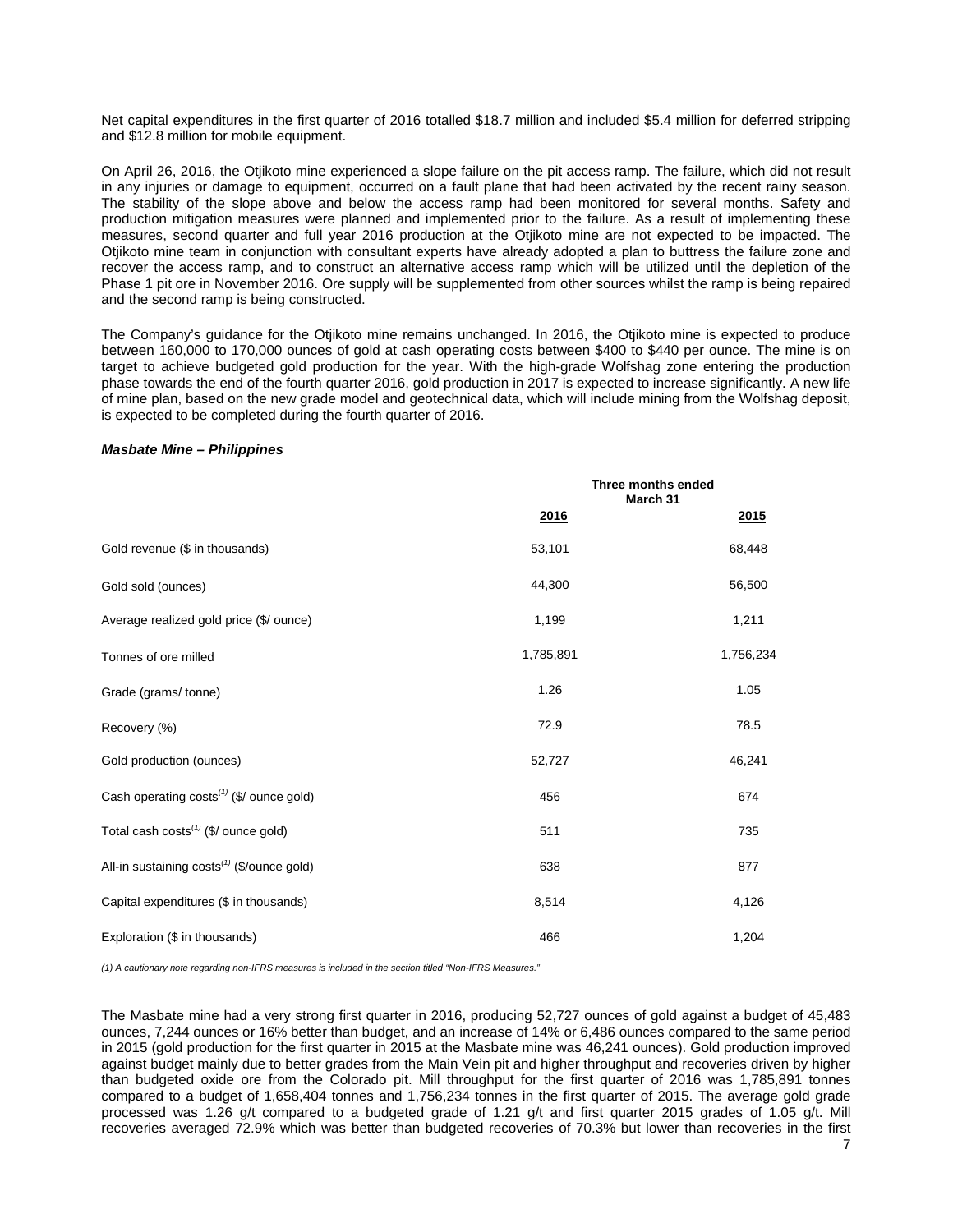Net capital expenditures in the first quarter of 2016 totalled \$18.7 million and included \$5.4 million for deferred stripping and \$12.8 million for mobile equipment.

On April 26, 2016, the Otjikoto mine experienced a slope failure on the pit access ramp. The failure, which did not result in any injuries or damage to equipment, occurred on a fault plane that had been activated by the recent rainy season. The stability of the slope above and below the access ramp had been monitored for several months. Safety and production mitigation measures were planned and implemented prior to the failure. As a result of implementing these measures, second quarter and full year 2016 production at the Otjikoto mine are not expected to be impacted. The Otjikoto mine team in conjunction with consultant experts have already adopted a plan to buttress the failure zone and recover the access ramp, and to construct an alternative access ramp which will be utilized until the depletion of the Phase 1 pit ore in November 2016. Ore supply will be supplemented from other sources whilst the ramp is being repaired and the second ramp is being constructed.

The Company's guidance for the Otjikoto mine remains unchanged. In 2016, the Otjikoto mine is expected to produce between 160,000 to 170,000 ounces of gold at cash operating costs between \$400 to \$440 per ounce. The mine is on target to achieve budgeted gold production for the year. With the high-grade Wolfshag zone entering the production phase towards the end of the fourth quarter 2016, gold production in 2017 is expected to increase significantly. A new life of mine plan, based on the new grade model and geotechnical data, which will include mining from the Wolfshag deposit, is expected to be completed during the fourth quarter of 2016.

### *Masbate Mine – Philippines*

|                                                        | Three months ended<br>March 31 |           |  |
|--------------------------------------------------------|--------------------------------|-----------|--|
|                                                        | 2016                           | 2015      |  |
| Gold revenue (\$ in thousands)                         | 53,101                         | 68,448    |  |
| Gold sold (ounces)                                     | 44,300                         | 56,500    |  |
| Average realized gold price (\$/ ounce)                | 1,199                          | 1,211     |  |
| Tonnes of ore milled                                   | 1,785,891                      | 1,756,234 |  |
| Grade (grams/tonne)                                    | 1.26                           | 1.05      |  |
| Recovery (%)                                           | 72.9                           | 78.5      |  |
| Gold production (ounces)                               | 52,727                         | 46,241    |  |
| Cash operating costs <sup>(1)</sup> (\$/ ounce gold)   | 456                            | 674       |  |
| Total cash costs <sup>(1)</sup> (\$/ ounce gold)       | 511                            | 735       |  |
| All-in sustaining costs <sup>(1)</sup> (\$/ounce gold) | 638                            | 877       |  |
| Capital expenditures (\$ in thousands)                 | 8,514                          | 4,126     |  |
| Exploration (\$ in thousands)                          | 466                            | 1,204     |  |

*(1) A cautionary note regarding non-IFRS measures is included in the section titled "Non-IFRS Measures."* 

The Masbate mine had a very strong first quarter in 2016, producing 52,727 ounces of gold against a budget of 45,483 ounces, 7,244 ounces or 16% better than budget, and an increase of 14% or 6,486 ounces compared to the same period in 2015 (gold production for the first quarter in 2015 at the Masbate mine was 46,241 ounces). Gold production improved against budget mainly due to better grades from the Main Vein pit and higher throughput and recoveries driven by higher than budgeted oxide ore from the Colorado pit. Mill throughput for the first quarter of 2016 was 1,785,891 tonnes compared to a budget of 1,658,404 tonnes and 1,756,234 tonnes in the first quarter of 2015. The average gold grade processed was 1.26 g/t compared to a budgeted grade of 1.21 g/t and first quarter 2015 grades of 1.05 g/t. Mill recoveries averaged 72.9% which was better than budgeted recoveries of 70.3% but lower than recoveries in the first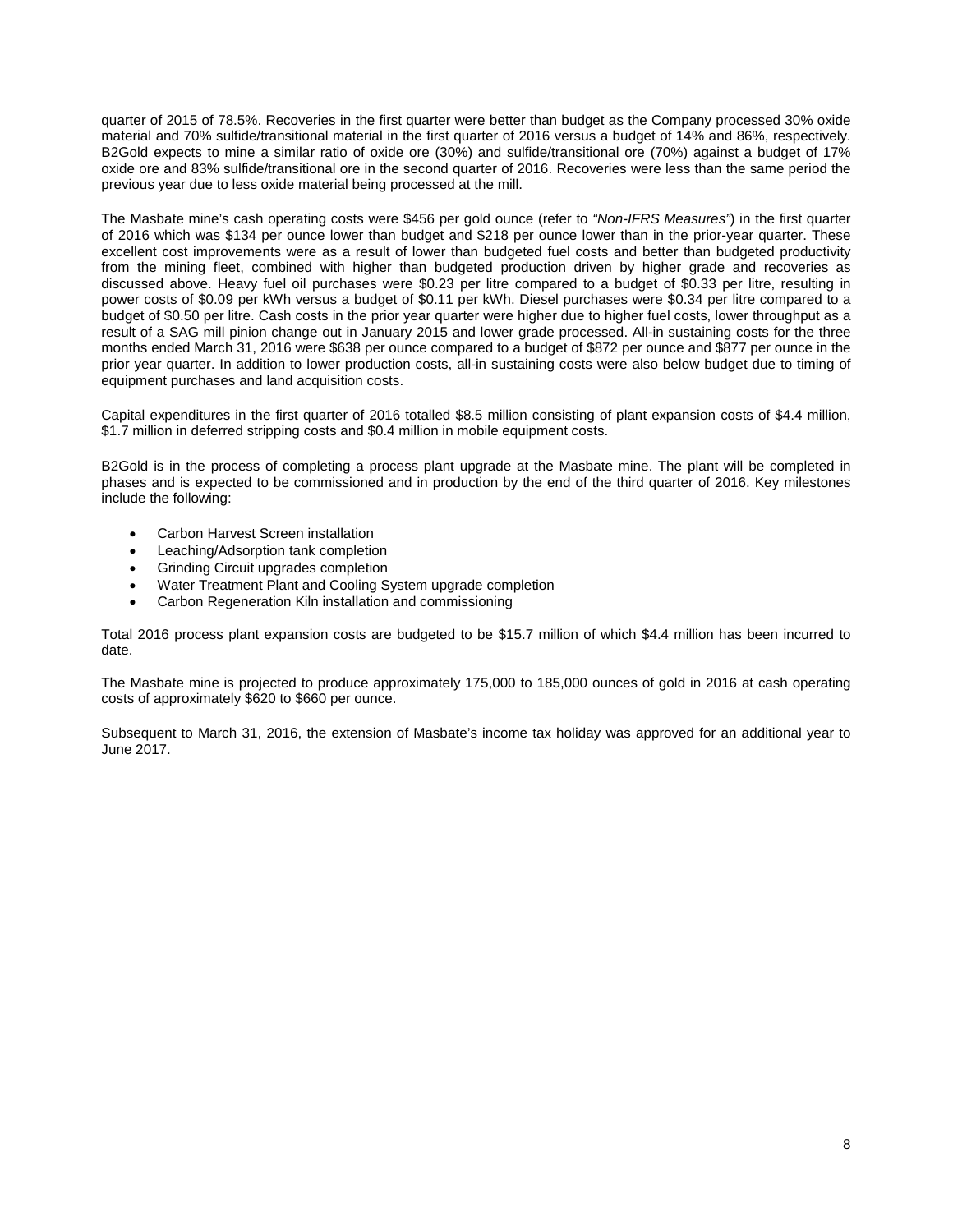quarter of 2015 of 78.5%. Recoveries in the first quarter were better than budget as the Company processed 30% oxide material and 70% sulfide/transitional material in the first quarter of 2016 versus a budget of 14% and 86%, respectively. B2Gold expects to mine a similar ratio of oxide ore (30%) and sulfide/transitional ore (70%) against a budget of 17% oxide ore and 83% sulfide/transitional ore in the second quarter of 2016. Recoveries were less than the same period the previous year due to less oxide material being processed at the mill.

The Masbate mine's cash operating costs were \$456 per gold ounce (refer to *"Non-IFRS Measures"*) in the first quarter of 2016 which was \$134 per ounce lower than budget and \$218 per ounce lower than in the prior-year quarter. These excellent cost improvements were as a result of lower than budgeted fuel costs and better than budgeted productivity from the mining fleet, combined with higher than budgeted production driven by higher grade and recoveries as discussed above. Heavy fuel oil purchases were \$0.23 per litre compared to a budget of \$0.33 per litre, resulting in power costs of \$0.09 per kWh versus a budget of \$0.11 per kWh. Diesel purchases were \$0.34 per litre compared to a budget of \$0.50 per litre. Cash costs in the prior year quarter were higher due to higher fuel costs, lower throughput as a result of a SAG mill pinion change out in January 2015 and lower grade processed. All-in sustaining costs for the three months ended March 31, 2016 were \$638 per ounce compared to a budget of \$872 per ounce and \$877 per ounce in the prior year quarter. In addition to lower production costs, all-in sustaining costs were also below budget due to timing of equipment purchases and land acquisition costs.

Capital expenditures in the first quarter of 2016 totalled \$8.5 million consisting of plant expansion costs of \$4.4 million, \$1.7 million in deferred stripping costs and \$0.4 million in mobile equipment costs.

B2Gold is in the process of completing a process plant upgrade at the Masbate mine. The plant will be completed in phases and is expected to be commissioned and in production by the end of the third quarter of 2016. Key milestones include the following:

- Carbon Harvest Screen installation
- Leaching/Adsorption tank completion
- Grinding Circuit upgrades completion
- Water Treatment Plant and Cooling System upgrade completion
- Carbon Regeneration Kiln installation and commissioning

Total 2016 process plant expansion costs are budgeted to be \$15.7 million of which \$4.4 million has been incurred to date.

The Masbate mine is projected to produce approximately 175,000 to 185,000 ounces of gold in 2016 at cash operating costs of approximately \$620 to \$660 per ounce.

Subsequent to March 31, 2016, the extension of Masbate's income tax holiday was approved for an additional year to June 2017.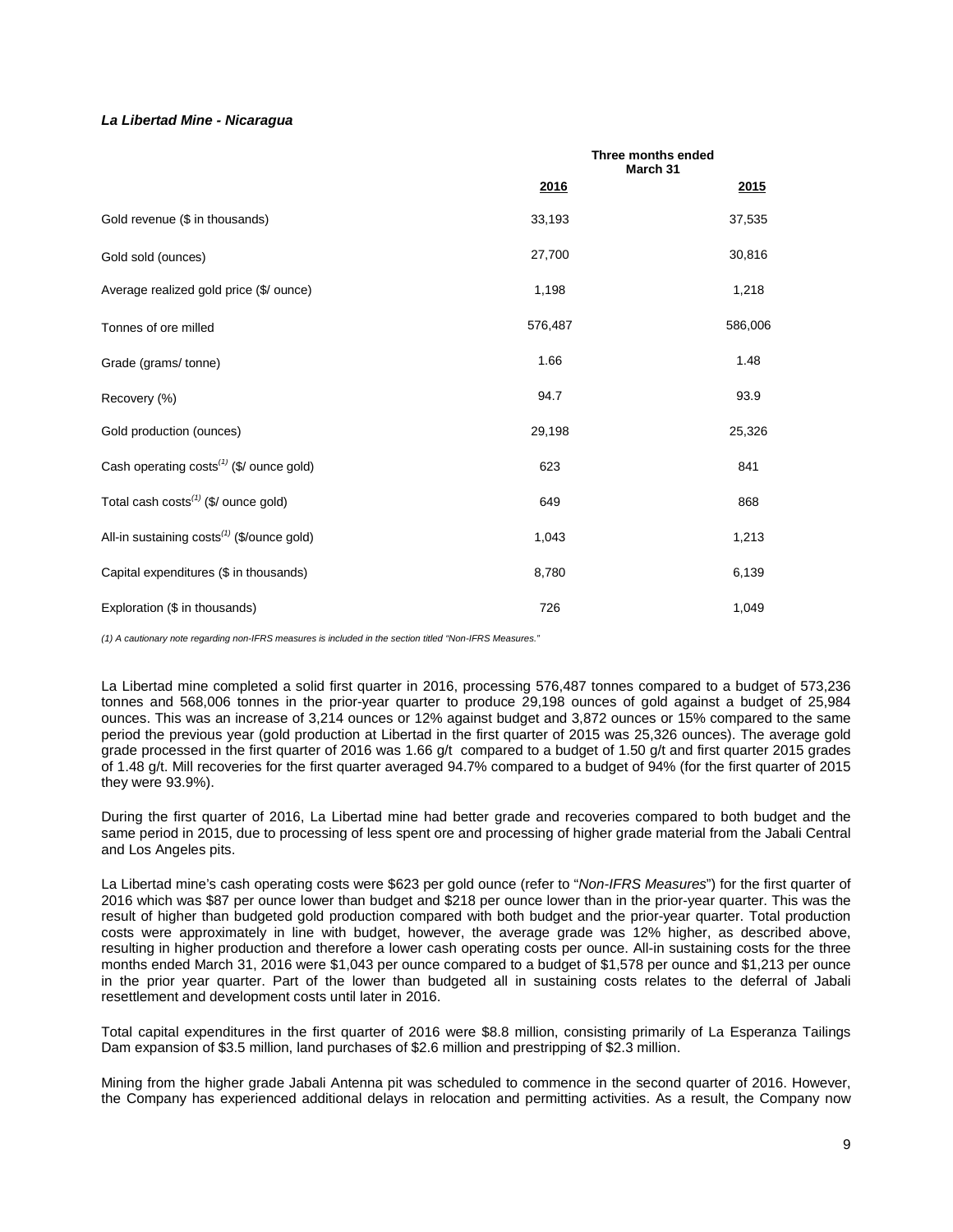## *La Libertad Mine - Nicaragua*

|                                                        |         | Three months ended<br>March 31 |
|--------------------------------------------------------|---------|--------------------------------|
|                                                        | 2016    | 2015                           |
| Gold revenue (\$ in thousands)                         | 33,193  | 37,535                         |
| Gold sold (ounces)                                     | 27,700  | 30,816                         |
| Average realized gold price (\$/ ounce)                | 1,198   | 1,218                          |
| Tonnes of ore milled                                   | 576,487 | 586,006                        |
| Grade (grams/tonne)                                    | 1.66    | 1.48                           |
| Recovery (%)                                           | 94.7    | 93.9                           |
| Gold production (ounces)                               | 29,198  | 25,326                         |
| Cash operating costs <sup>(1)</sup> (\$/ ounce gold)   | 623     | 841                            |
| Total cash costs <sup>(1)</sup> (\$/ ounce gold)       | 649     | 868                            |
| All-in sustaining costs <sup>(1)</sup> (\$/ounce gold) | 1,043   | 1,213                          |
| Capital expenditures (\$ in thousands)                 | 8,780   | 6,139                          |
| Exploration (\$ in thousands)                          | 726     | 1,049                          |

*(1) A cautionary note regarding non-IFRS measures is included in the section titled "Non-IFRS Measures."* 

La Libertad mine completed a solid first quarter in 2016, processing 576,487 tonnes compared to a budget of 573,236 tonnes and 568,006 tonnes in the prior-year quarter to produce 29,198 ounces of gold against a budget of 25,984 ounces. This was an increase of 3,214 ounces or 12% against budget and 3,872 ounces or 15% compared to the same period the previous year (gold production at Libertad in the first quarter of 2015 was 25,326 ounces). The average gold grade processed in the first quarter of 2016 was 1.66 g/t compared to a budget of 1.50 g/t and first quarter 2015 grades of 1.48 g/t. Mill recoveries for the first quarter averaged 94.7% compared to a budget of 94% (for the first quarter of 2015 they were 93.9%).

During the first quarter of 2016, La Libertad mine had better grade and recoveries compared to both budget and the same period in 2015, due to processing of less spent ore and processing of higher grade material from the Jabali Central and Los Angeles pits.

La Libertad mine's cash operating costs were \$623 per gold ounce (refer to "*Non-IFRS Measures*") for the first quarter of 2016 which was \$87 per ounce lower than budget and \$218 per ounce lower than in the prior-year quarter. This was the result of higher than budgeted gold production compared with both budget and the prior-year quarter. Total production costs were approximately in line with budget, however, the average grade was 12% higher, as described above, resulting in higher production and therefore a lower cash operating costs per ounce. All-in sustaining costs for the three months ended March 31, 2016 were \$1,043 per ounce compared to a budget of \$1,578 per ounce and \$1,213 per ounce in the prior year quarter. Part of the lower than budgeted all in sustaining costs relates to the deferral of Jabali resettlement and development costs until later in 2016.

Total capital expenditures in the first quarter of 2016 were \$8.8 million, consisting primarily of La Esperanza Tailings Dam expansion of \$3.5 million, land purchases of \$2.6 million and prestripping of \$2.3 million.

Mining from the higher grade Jabali Antenna pit was scheduled to commence in the second quarter of 2016. However, the Company has experienced additional delays in relocation and permitting activities. As a result, the Company now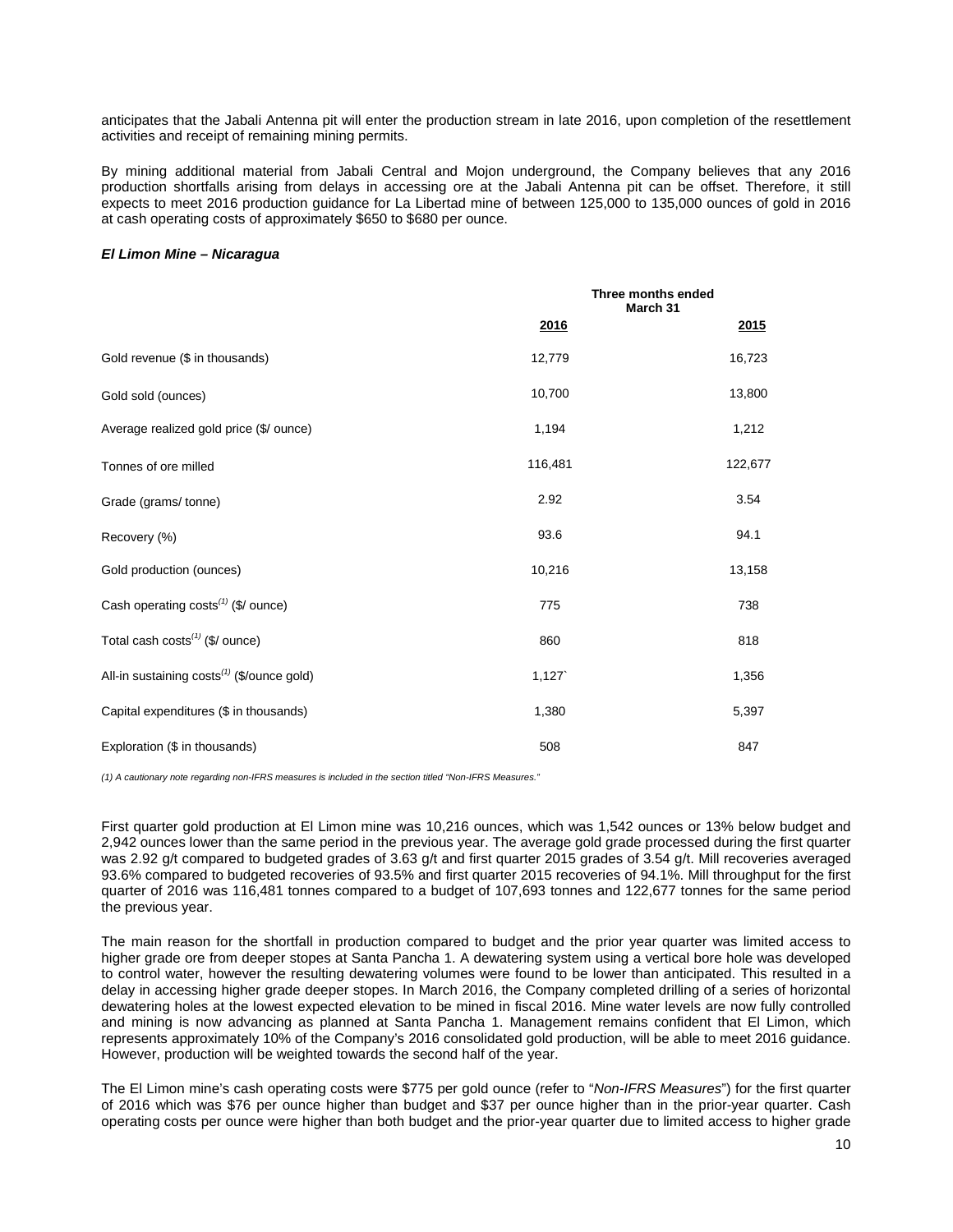anticipates that the Jabali Antenna pit will enter the production stream in late 2016, upon completion of the resettlement activities and receipt of remaining mining permits.

By mining additional material from Jabali Central and Mojon underground, the Company believes that any 2016 production shortfalls arising from delays in accessing ore at the Jabali Antenna pit can be offset. Therefore, it still expects to meet 2016 production guidance for La Libertad mine of between 125,000 to 135,000 ounces of gold in 2016 at cash operating costs of approximately \$650 to \$680 per ounce.

### *El Limon Mine – Nicaragua*

|                                                        | Three months ended<br>March 31 |             |  |
|--------------------------------------------------------|--------------------------------|-------------|--|
|                                                        | 2016                           | <u>2015</u> |  |
| Gold revenue (\$ in thousands)                         | 12,779                         | 16,723      |  |
| Gold sold (ounces)                                     | 10,700                         | 13,800      |  |
| Average realized gold price (\$/ ounce)                | 1,194                          | 1,212       |  |
| Tonnes of ore milled                                   | 116,481                        | 122,677     |  |
| Grade (grams/tonne)                                    | 2.92                           | 3.54        |  |
| Recovery (%)                                           | 93.6                           | 94.1        |  |
| Gold production (ounces)                               | 10,216                         | 13,158      |  |
| Cash operating $costs^{(1)}$ (\$/ ounce)               | 775                            | 738         |  |
| Total cash costs <sup>(1)</sup> (\$/ ounce)            | 860                            | 818         |  |
| All-in sustaining costs <sup>(1)</sup> (\$/ounce gold) | 1,127                          | 1,356       |  |
| Capital expenditures (\$ in thousands)                 | 1,380                          | 5,397       |  |
| Exploration (\$ in thousands)                          | 508                            | 847         |  |

*(1) A cautionary note regarding non-IFRS measures is included in the section titled "Non-IFRS Measures."*

First quarter gold production at El Limon mine was 10,216 ounces, which was 1,542 ounces or 13% below budget and 2,942 ounces lower than the same period in the previous year. The average gold grade processed during the first quarter was 2.92 g/t compared to budgeted grades of 3.63 g/t and first quarter 2015 grades of 3.54 g/t. Mill recoveries averaged 93.6% compared to budgeted recoveries of 93.5% and first quarter 2015 recoveries of 94.1%. Mill throughput for the first quarter of 2016 was 116,481 tonnes compared to a budget of 107,693 tonnes and 122,677 tonnes for the same period the previous year.

The main reason for the shortfall in production compared to budget and the prior year quarter was limited access to higher grade ore from deeper stopes at Santa Pancha 1. A dewatering system using a vertical bore hole was developed to control water, however the resulting dewatering volumes were found to be lower than anticipated. This resulted in a delay in accessing higher grade deeper stopes. In March 2016, the Company completed drilling of a series of horizontal dewatering holes at the lowest expected elevation to be mined in fiscal 2016. Mine water levels are now fully controlled and mining is now advancing as planned at Santa Pancha 1. Management remains confident that El Limon, which represents approximately 10% of the Company's 2016 consolidated gold production, will be able to meet 2016 guidance. However, production will be weighted towards the second half of the year.

The El Limon mine's cash operating costs were \$775 per gold ounce (refer to "*Non-IFRS Measures*") for the first quarter of 2016 which was \$76 per ounce higher than budget and \$37 per ounce higher than in the prior-year quarter. Cash operating costs per ounce were higher than both budget and the prior-year quarter due to limited access to higher grade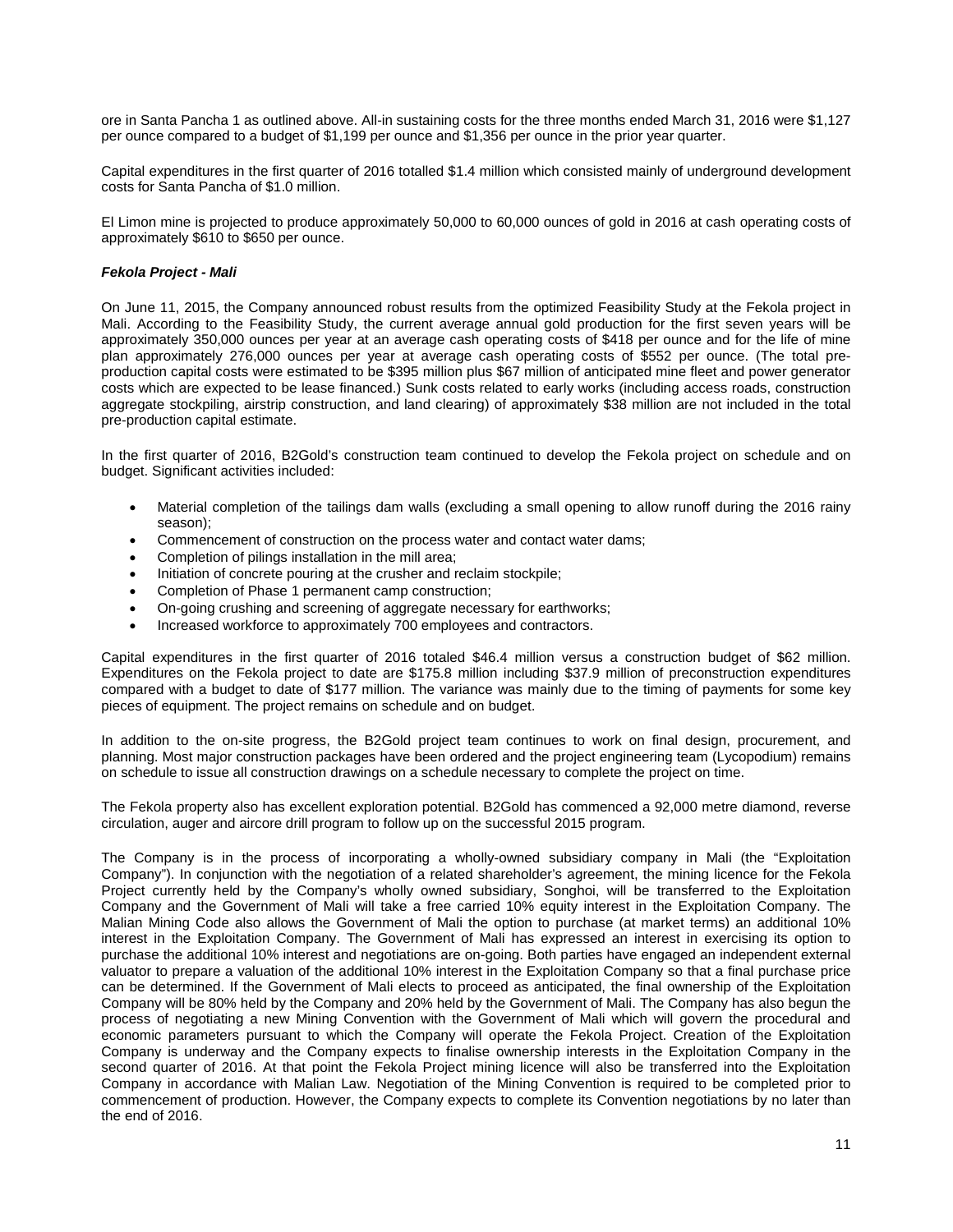ore in Santa Pancha 1 as outlined above. All-in sustaining costs for the three months ended March 31, 2016 were \$1,127 per ounce compared to a budget of \$1,199 per ounce and \$1,356 per ounce in the prior year quarter.

Capital expenditures in the first quarter of 2016 totalled \$1.4 million which consisted mainly of underground development costs for Santa Pancha of \$1.0 million.

El Limon mine is projected to produce approximately 50,000 to 60,000 ounces of gold in 2016 at cash operating costs of approximately \$610 to \$650 per ounce.

## *Fekola Project - Mali*

On June 11, 2015, the Company announced robust results from the optimized Feasibility Study at the Fekola project in Mali. According to the Feasibility Study, the current average annual gold production for the first seven years will be approximately 350,000 ounces per year at an average cash operating costs of \$418 per ounce and for the life of mine plan approximately 276,000 ounces per year at average cash operating costs of \$552 per ounce. (The total preproduction capital costs were estimated to be \$395 million plus \$67 million of anticipated mine fleet and power generator costs which are expected to be lease financed.) Sunk costs related to early works (including access roads, construction aggregate stockpiling, airstrip construction, and land clearing) of approximately \$38 million are not included in the total pre-production capital estimate.

In the first quarter of 2016, B2Gold's construction team continued to develop the Fekola project on schedule and on budget. Significant activities included:

- Material completion of the tailings dam walls (excluding a small opening to allow runoff during the 2016 rainy season);
- Commencement of construction on the process water and contact water dams;
- Completion of pilings installation in the mill area;
- Initiation of concrete pouring at the crusher and reclaim stockpile;
- Completion of Phase 1 permanent camp construction;
- On-going crushing and screening of aggregate necessary for earthworks;
- Increased workforce to approximately 700 employees and contractors.

Capital expenditures in the first quarter of 2016 totaled \$46.4 million versus a construction budget of \$62 million. Expenditures on the Fekola project to date are \$175.8 million including \$37.9 million of preconstruction expenditures compared with a budget to date of \$177 million. The variance was mainly due to the timing of payments for some key pieces of equipment. The project remains on schedule and on budget.

In addition to the on-site progress, the B2Gold project team continues to work on final design, procurement, and planning. Most major construction packages have been ordered and the project engineering team (Lycopodium) remains on schedule to issue all construction drawings on a schedule necessary to complete the project on time.

The Fekola property also has excellent exploration potential. B2Gold has commenced a 92,000 metre diamond, reverse circulation, auger and aircore drill program to follow up on the successful 2015 program.

The Company is in the process of incorporating a wholly-owned subsidiary company in Mali (the "Exploitation Company"). In conjunction with the negotiation of a related shareholder's agreement, the mining licence for the Fekola Project currently held by the Company's wholly owned subsidiary, Songhoi, will be transferred to the Exploitation Company and the Government of Mali will take a free carried 10% equity interest in the Exploitation Company. The Malian Mining Code also allows the Government of Mali the option to purchase (at market terms) an additional 10% interest in the Exploitation Company. The Government of Mali has expressed an interest in exercising its option to purchase the additional 10% interest and negotiations are on-going. Both parties have engaged an independent external valuator to prepare a valuation of the additional 10% interest in the Exploitation Company so that a final purchase price can be determined. If the Government of Mali elects to proceed as anticipated, the final ownership of the Exploitation Company will be 80% held by the Company and 20% held by the Government of Mali. The Company has also begun the process of negotiating a new Mining Convention with the Government of Mali which will govern the procedural and economic parameters pursuant to which the Company will operate the Fekola Project. Creation of the Exploitation Company is underway and the Company expects to finalise ownership interests in the Exploitation Company in the second quarter of 2016. At that point the Fekola Project mining licence will also be transferred into the Exploitation Company in accordance with Malian Law. Negotiation of the Mining Convention is required to be completed prior to commencement of production. However, the Company expects to complete its Convention negotiations by no later than the end of 2016.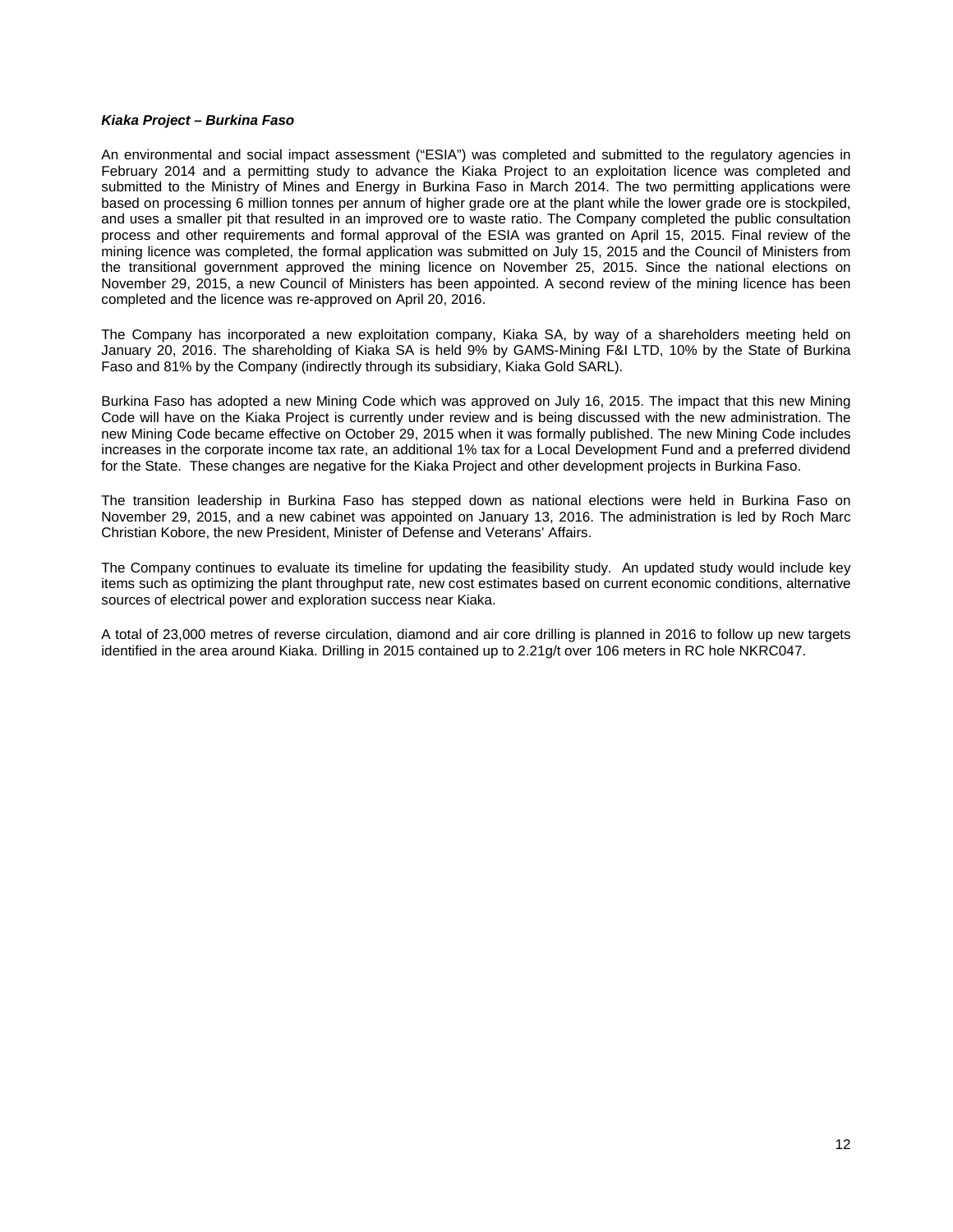### *Kiaka Project – Burkina Faso*

An environmental and social impact assessment ("ESIA") was completed and submitted to the regulatory agencies in February 2014 and a permitting study to advance the Kiaka Project to an exploitation licence was completed and submitted to the Ministry of Mines and Energy in Burkina Faso in March 2014. The two permitting applications were based on processing 6 million tonnes per annum of higher grade ore at the plant while the lower grade ore is stockpiled, and uses a smaller pit that resulted in an improved ore to waste ratio. The Company completed the public consultation process and other requirements and formal approval of the ESIA was granted on April 15, 2015. Final review of the mining licence was completed, the formal application was submitted on July 15, 2015 and the Council of Ministers from the transitional government approved the mining licence on November 25, 2015. Since the national elections on November 29, 2015, a new Council of Ministers has been appointed. A second review of the mining licence has been completed and the licence was re-approved on April 20, 2016.

The Company has incorporated a new exploitation company, Kiaka SA, by way of a shareholders meeting held on January 20, 2016. The shareholding of Kiaka SA is held 9% by GAMS-Mining F&I LTD, 10% by the State of Burkina Faso and 81% by the Company (indirectly through its subsidiary, Kiaka Gold SARL).

Burkina Faso has adopted a new Mining Code which was approved on July 16, 2015. The impact that this new Mining Code will have on the Kiaka Project is currently under review and is being discussed with the new administration. The new Mining Code became effective on October 29, 2015 when it was formally published. The new Mining Code includes increases in the corporate income tax rate, an additional 1% tax for a Local Development Fund and a preferred dividend for the State. These changes are negative for the Kiaka Project and other development projects in Burkina Faso.

The transition leadership in Burkina Faso has stepped down as national elections were held in Burkina Faso on November 29, 2015, and a new cabinet was appointed on January 13, 2016. The administration is led by Roch Marc Christian Kobore, the new President, Minister of Defense and Veterans' Affairs.

The Company continues to evaluate its timeline for updating the feasibility study. An updated study would include key items such as optimizing the plant throughput rate, new cost estimates based on current economic conditions, alternative sources of electrical power and exploration success near Kiaka.

A total of 23,000 metres of reverse circulation, diamond and air core drilling is planned in 2016 to follow up new targets identified in the area around Kiaka. Drilling in 2015 contained up to 2.21g/t over 106 meters in RC hole NKRC047.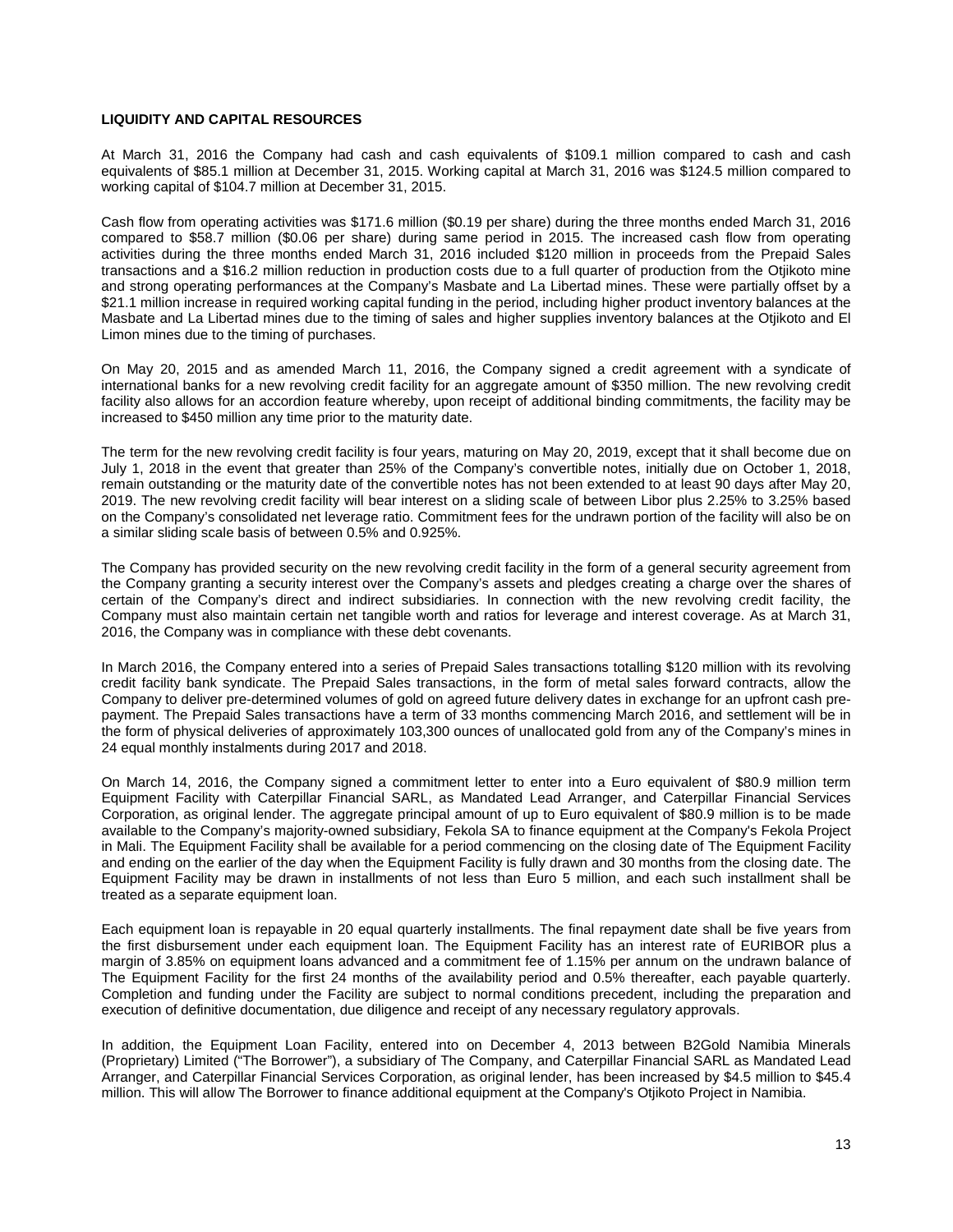## **LIQUIDITY AND CAPITAL RESOURCES**

At March 31, 2016 the Company had cash and cash equivalents of \$109.1 million compared to cash and cash equivalents of \$85.1 million at December 31, 2015. Working capital at March 31, 2016 was \$124.5 million compared to working capital of \$104.7 million at December 31, 2015.

Cash flow from operating activities was \$171.6 million (\$0.19 per share) during the three months ended March 31, 2016 compared to \$58.7 million (\$0.06 per share) during same period in 2015. The increased cash flow from operating activities during the three months ended March 31, 2016 included \$120 million in proceeds from the Prepaid Sales transactions and a \$16.2 million reduction in production costs due to a full quarter of production from the Otjikoto mine and strong operating performances at the Company's Masbate and La Libertad mines. These were partially offset by a \$21.1 million increase in required working capital funding in the period, including higher product inventory balances at the Masbate and La Libertad mines due to the timing of sales and higher supplies inventory balances at the Otjikoto and El Limon mines due to the timing of purchases.

On May 20, 2015 and as amended March 11, 2016, the Company signed a credit agreement with a syndicate of international banks for a new revolving credit facility for an aggregate amount of \$350 million. The new revolving credit facility also allows for an accordion feature whereby, upon receipt of additional binding commitments, the facility may be increased to \$450 million any time prior to the maturity date.

The term for the new revolving credit facility is four years, maturing on May 20, 2019, except that it shall become due on July 1, 2018 in the event that greater than 25% of the Company's convertible notes, initially due on October 1, 2018, remain outstanding or the maturity date of the convertible notes has not been extended to at least 90 days after May 20, 2019. The new revolving credit facility will bear interest on a sliding scale of between Libor plus 2.25% to 3.25% based on the Company's consolidated net leverage ratio. Commitment fees for the undrawn portion of the facility will also be on a similar sliding scale basis of between 0.5% and 0.925%.

The Company has provided security on the new revolving credit facility in the form of a general security agreement from the Company granting a security interest over the Company's assets and pledges creating a charge over the shares of certain of the Company's direct and indirect subsidiaries. In connection with the new revolving credit facility, the Company must also maintain certain net tangible worth and ratios for leverage and interest coverage. As at March 31, 2016, the Company was in compliance with these debt covenants.

In March 2016, the Company entered into a series of Prepaid Sales transactions totalling \$120 million with its revolving credit facility bank syndicate. The Prepaid Sales transactions, in the form of metal sales forward contracts, allow the Company to deliver pre-determined volumes of gold on agreed future delivery dates in exchange for an upfront cash prepayment. The Prepaid Sales transactions have a term of 33 months commencing March 2016, and settlement will be in the form of physical deliveries of approximately 103,300 ounces of unallocated gold from any of the Company's mines in 24 equal monthly instalments during 2017 and 2018.

On March 14, 2016, the Company signed a commitment letter to enter into a Euro equivalent of \$80.9 million term Equipment Facility with Caterpillar Financial SARL, as Mandated Lead Arranger, and Caterpillar Financial Services Corporation, as original lender. The aggregate principal amount of up to Euro equivalent of \$80.9 million is to be made available to the Company's majority-owned subsidiary, Fekola SA to finance equipment at the Company's Fekola Project in Mali. The Equipment Facility shall be available for a period commencing on the closing date of The Equipment Facility and ending on the earlier of the day when the Equipment Facility is fully drawn and 30 months from the closing date. The Equipment Facility may be drawn in installments of not less than Euro 5 million, and each such installment shall be treated as a separate equipment loan.

Each equipment loan is repayable in 20 equal quarterly installments. The final repayment date shall be five years from the first disbursement under each equipment loan. The Equipment Facility has an interest rate of EURIBOR plus a margin of 3.85% on equipment loans advanced and a commitment fee of 1.15% per annum on the undrawn balance of The Equipment Facility for the first 24 months of the availability period and 0.5% thereafter, each payable quarterly. Completion and funding under the Facility are subject to normal conditions precedent, including the preparation and execution of definitive documentation, due diligence and receipt of any necessary regulatory approvals.

In addition, the Equipment Loan Facility, entered into on December 4, 2013 between B2Gold Namibia Minerals (Proprietary) Limited ("The Borrower"), a subsidiary of The Company, and Caterpillar Financial SARL as Mandated Lead Arranger, and Caterpillar Financial Services Corporation, as original lender, has been increased by \$4.5 million to \$45.4 million. This will allow The Borrower to finance additional equipment at the Company's Otjikoto Project in Namibia.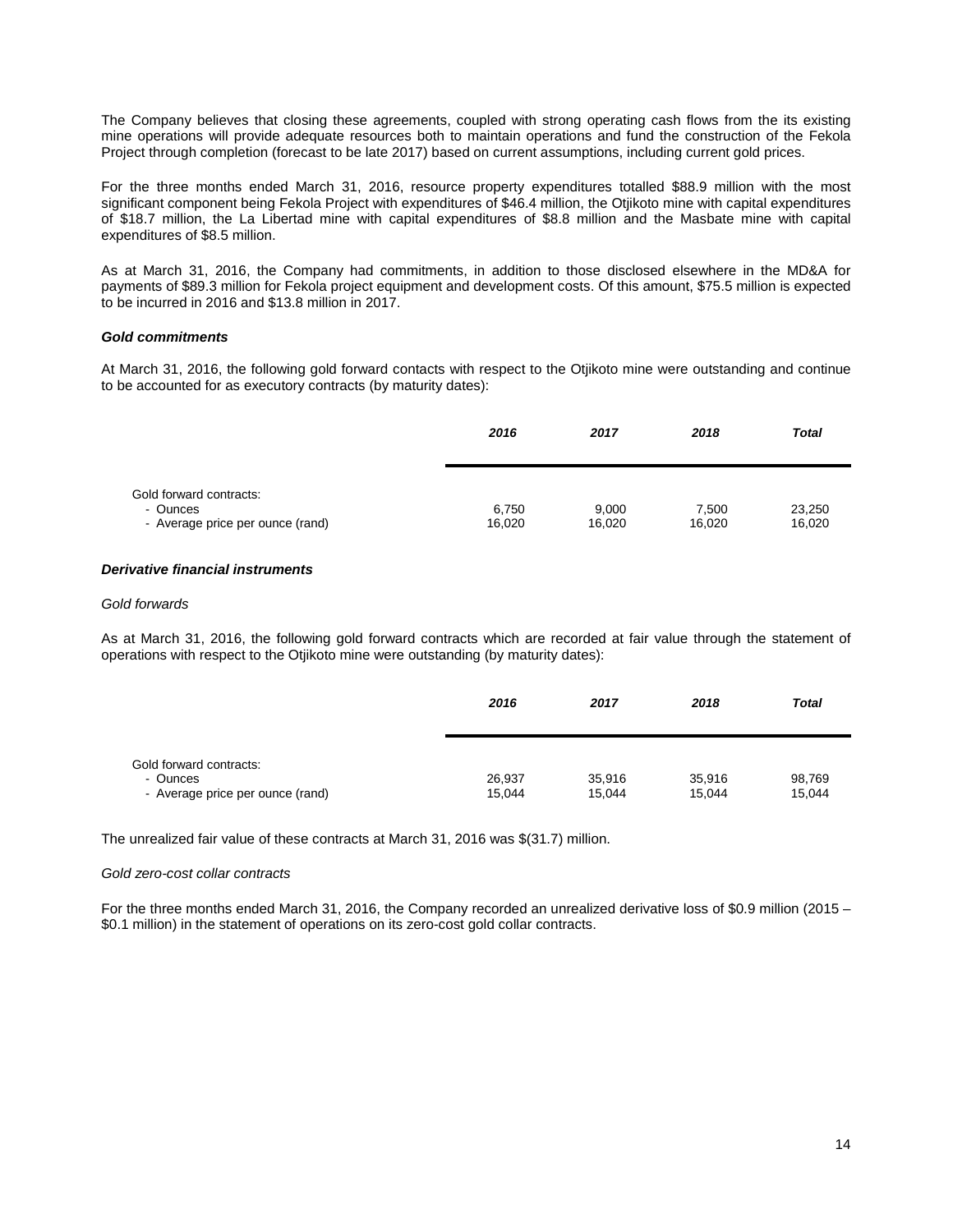The Company believes that closing these agreements, coupled with strong operating cash flows from the its existing mine operations will provide adequate resources both to maintain operations and fund the construction of the Fekola Project through completion (forecast to be late 2017) based on current assumptions, including current gold prices.

For the three months ended March 31, 2016, resource property expenditures totalled \$88.9 million with the most significant component being Fekola Project with expenditures of \$46.4 million, the Otjikoto mine with capital expenditures of \$18.7 million, the La Libertad mine with capital expenditures of \$8.8 million and the Masbate mine with capital expenditures of \$8.5 million.

As at March 31, 2016, the Company had commitments, in addition to those disclosed elsewhere in the MD&A for payments of \$89.3 million for Fekola project equipment and development costs. Of this amount, \$75.5 million is expected to be incurred in 2016 and \$13.8 million in 2017.

## *Gold commitments*

At March 31, 2016, the following gold forward contacts with respect to the Otjikoto mine were outstanding and continue to be accounted for as executory contracts (by maturity dates):

|                                              | 2016            | 2017            | 2018            | <b>Total</b>     |
|----------------------------------------------|-----------------|-----------------|-----------------|------------------|
| Gold forward contracts:                      |                 |                 |                 |                  |
| - Ounces<br>- Average price per ounce (rand) | 6,750<br>16,020 | 9,000<br>16,020 | 7.500<br>16,020 | 23,250<br>16,020 |

## *Derivative financial instruments*

### *Gold forwards*

As at March 31, 2016, the following gold forward contracts which are recorded at fair value through the statement of operations with respect to the Otjikoto mine were outstanding (by maturity dates):

|                                                                         | 2016             | 2017             | 2018             | <b>Total</b>     |
|-------------------------------------------------------------------------|------------------|------------------|------------------|------------------|
| Gold forward contracts:<br>- Ounces<br>- Average price per ounce (rand) | 26,937<br>15,044 | 35,916<br>15,044 | 35,916<br>15,044 | 98,769<br>15.044 |

The unrealized fair value of these contracts at March 31, 2016 was \$(31.7) million.

### *Gold zero-cost collar contracts*

For the three months ended March 31, 2016, the Company recorded an unrealized derivative loss of \$0.9 million (2015 – \$0.1 million) in the statement of operations on its zero-cost gold collar contracts.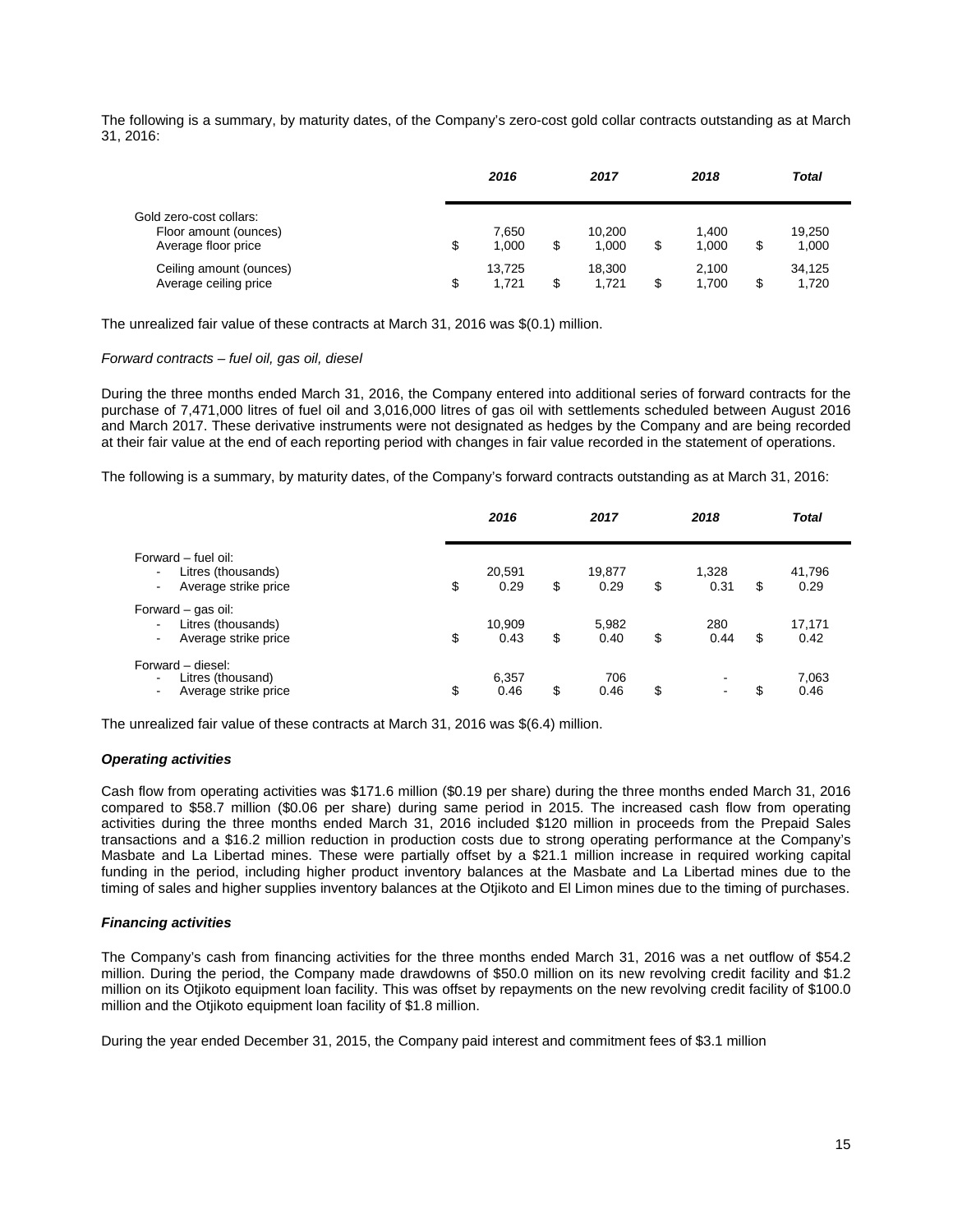The following is a summary, by maturity dates, of the Company's zero-cost gold collar contracts outstanding as at March 31, 2016:

|                                                  |    | 2016            | 2017                  |    | 2018           |     | <b>Total</b>    |  |
|--------------------------------------------------|----|-----------------|-----------------------|----|----------------|-----|-----------------|--|
| Gold zero-cost collars:<br>Floor amount (ounces) |    | 7,650           | 10.200                |    | 1.400          |     | 19,250          |  |
| Average floor price                              | \$ | 1.000           | \$<br>1.000           | \$ | 1.000          |     | 1,000           |  |
| Ceiling amount (ounces)<br>Average ceiling price | S  | 13.725<br>1.721 | \$<br>18.300<br>1.721 | S  | 2.100<br>1.700 | \$. | 34.125<br>1,720 |  |

The unrealized fair value of these contracts at March 31, 2016 was \$(0.1) million.

## *Forward contracts – fuel oil, gas oil, diesel*

During the three months ended March 31, 2016, the Company entered into additional series of forward contracts for the purchase of 7,471,000 litres of fuel oil and 3,016,000 litres of gas oil with settlements scheduled between August 2016 and March 2017. These derivative instruments were not designated as hedges by the Company and are being recorded at their fair value at the end of each reporting period with changes in fair value recorded in the statement of operations.

The following is a summary, by maturity dates, of the Company's forward contracts outstanding as at March 31, 2016:

|                                                                                            | 2016                 | 2017                 | 2018                                                |    | <b>Total</b>   |
|--------------------------------------------------------------------------------------------|----------------------|----------------------|-----------------------------------------------------|----|----------------|
| Forward – fuel oil:<br>Litres (thousands)<br>$\blacksquare$<br>Average strike price<br>۰.  | \$<br>20,591<br>0.29 | \$<br>19,877<br>0.29 | \$<br>1,328<br>0.31                                 | \$ | 41,796<br>0.29 |
| Forward - gas oil:<br>Litres (thousands)<br>۰.<br>Average strike price                     | \$<br>10,909<br>0.43 | \$<br>5,982<br>0.40  | \$<br>280<br>0.44                                   | \$ | 17,171<br>0.42 |
| Forward - diesel:<br>Litres (thousand)<br>$\overline{\phantom{0}}$<br>Average strike price | \$<br>6,357<br>0.46  | \$<br>706<br>0.46    | \$<br>$\overline{\phantom{0}}$<br>$\hbox{\small -}$ | S  | 7,063<br>0.46  |

The unrealized fair value of these contracts at March 31, 2016 was \$(6.4) million.

## *Operating activities*

Cash flow from operating activities was \$171.6 million (\$0.19 per share) during the three months ended March 31, 2016 compared to \$58.7 million (\$0.06 per share) during same period in 2015. The increased cash flow from operating activities during the three months ended March 31, 2016 included \$120 million in proceeds from the Prepaid Sales transactions and a \$16.2 million reduction in production costs due to strong operating performance at the Company's Masbate and La Libertad mines. These were partially offset by a \$21.1 million increase in required working capital funding in the period, including higher product inventory balances at the Masbate and La Libertad mines due to the timing of sales and higher supplies inventory balances at the Otjikoto and El Limon mines due to the timing of purchases.

## *Financing activities*

The Company's cash from financing activities for the three months ended March 31, 2016 was a net outflow of \$54.2 million. During the period, the Company made drawdowns of \$50.0 million on its new revolving credit facility and \$1.2 million on its Otjikoto equipment loan facility. This was offset by repayments on the new revolving credit facility of \$100.0 million and the Otjikoto equipment loan facility of \$1.8 million.

During the year ended December 31, 2015, the Company paid interest and commitment fees of \$3.1 million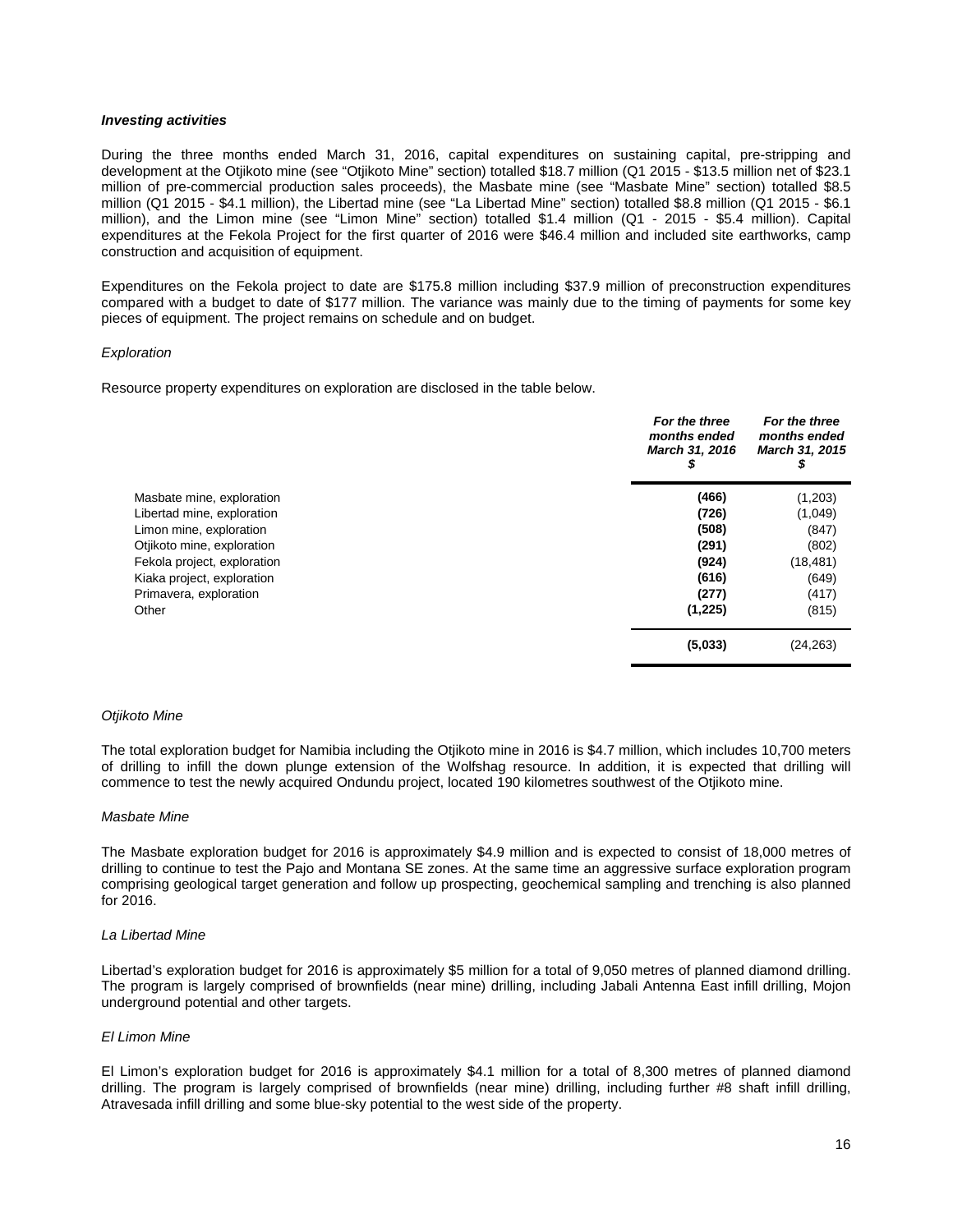### *Investing activities*

During the three months ended March 31, 2016, capital expenditures on sustaining capital, pre-stripping and development at the Otjikoto mine (see "Otjikoto Mine" section) totalled \$18.7 million (Q1 2015 - \$13.5 million net of \$23.1 million of pre-commercial production sales proceeds), the Masbate mine (see "Masbate Mine" section) totalled \$8.5 million (Q1 2015 - \$4.1 million), the Libertad mine (see "La Libertad Mine" section) totalled \$8.8 million (Q1 2015 - \$6.1 million), and the Limon mine (see "Limon Mine" section) totalled \$1.4 million (Q1 - 2015 - \$5.4 million). Capital expenditures at the Fekola Project for the first quarter of 2016 were \$46.4 million and included site earthworks, camp construction and acquisition of equipment.

Expenditures on the Fekola project to date are \$175.8 million including \$37.9 million of preconstruction expenditures compared with a budget to date of \$177 million. The variance was mainly due to the timing of payments for some key pieces of equipment. The project remains on schedule and on budget.

### *Exploration*

Resource property expenditures on exploration are disclosed in the table below.

|                             | For the three<br>months ended<br><b>March 31, 2016</b> | For the three<br>months ended<br>March 31, 2015<br>\$ |
|-----------------------------|--------------------------------------------------------|-------------------------------------------------------|
| Masbate mine, exploration   | (466)                                                  | (1,203)                                               |
| Libertad mine, exploration  | (726)                                                  | (1,049)                                               |
| Limon mine, exploration     | (508)                                                  | (847)                                                 |
| Otjikoto mine, exploration  | (291)                                                  | (802)                                                 |
| Fekola project, exploration | (924)                                                  | (18, 481)                                             |
| Kiaka project, exploration  | (616)                                                  | (649)                                                 |
| Primavera, exploration      | (277)                                                  | (417)                                                 |
| Other                       | (1,225)                                                | (815)                                                 |
|                             | (5,033)                                                | (24, 263)                                             |

### *Otjikoto Mine*

The total exploration budget for Namibia including the Otjikoto mine in 2016 is \$4.7 million, which includes 10,700 meters of drilling to infill the down plunge extension of the Wolfshag resource. In addition, it is expected that drilling will commence to test the newly acquired Ondundu project, located 190 kilometres southwest of the Otjikoto mine.

### *Masbate Mine*

The Masbate exploration budget for 2016 is approximately \$4.9 million and is expected to consist of 18,000 metres of drilling to continue to test the Pajo and Montana SE zones. At the same time an aggressive surface exploration program comprising geological target generation and follow up prospecting, geochemical sampling and trenching is also planned for 2016.

### *La Libertad Mine*

Libertad's exploration budget for 2016 is approximately \$5 million for a total of 9,050 metres of planned diamond drilling. The program is largely comprised of brownfields (near mine) drilling, including Jabali Antenna East infill drilling, Mojon underground potential and other targets.

## *El Limon Mine*

El Limon's exploration budget for 2016 is approximately \$4.1 million for a total of 8,300 metres of planned diamond drilling. The program is largely comprised of brownfields (near mine) drilling, including further #8 shaft infill drilling, Atravesada infill drilling and some blue-sky potential to the west side of the property.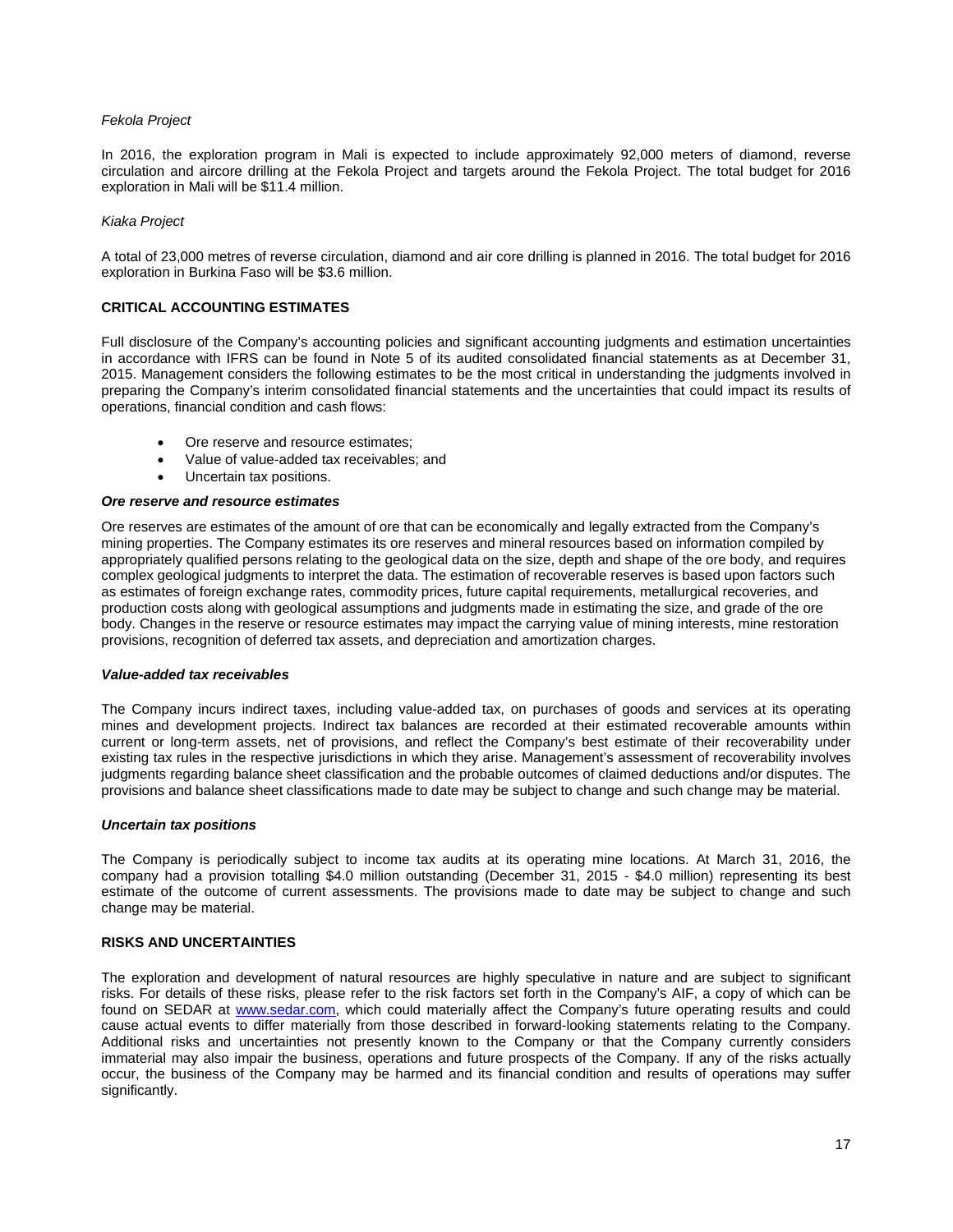## *Fekola Project*

In 2016, the exploration program in Mali is expected to include approximately 92,000 meters of diamond, reverse circulation and aircore drilling at the Fekola Project and targets around the Fekola Project. The total budget for 2016 exploration in Mali will be \$11.4 million.

## *Kiaka Project*

A total of 23,000 metres of reverse circulation, diamond and air core drilling is planned in 2016. The total budget for 2016 exploration in Burkina Faso will be \$3.6 million.

## **CRITICAL ACCOUNTING ESTIMATES**

Full disclosure of the Company's accounting policies and significant accounting judgments and estimation uncertainties in accordance with IFRS can be found in Note 5 of its audited consolidated financial statements as at December 31, 2015. Management considers the following estimates to be the most critical in understanding the judgments involved in preparing the Company's interim consolidated financial statements and the uncertainties that could impact its results of operations, financial condition and cash flows:

- Ore reserve and resource estimates;
- Value of value-added tax receivables; and
- Uncertain tax positions.

### *Ore reserve and resource estimates*

Ore reserves are estimates of the amount of ore that can be economically and legally extracted from the Company's mining properties. The Company estimates its ore reserves and mineral resources based on information compiled by appropriately qualified persons relating to the geological data on the size, depth and shape of the ore body, and requires complex geological judgments to interpret the data. The estimation of recoverable reserves is based upon factors such as estimates of foreign exchange rates, commodity prices, future capital requirements, metallurgical recoveries, and production costs along with geological assumptions and judgments made in estimating the size, and grade of the ore body. Changes in the reserve or resource estimates may impact the carrying value of mining interests, mine restoration provisions, recognition of deferred tax assets, and depreciation and amortization charges.

### *Value-added tax receivables*

The Company incurs indirect taxes, including value-added tax, on purchases of goods and services at its operating mines and development projects. Indirect tax balances are recorded at their estimated recoverable amounts within current or long-term assets, net of provisions, and reflect the Company's best estimate of their recoverability under existing tax rules in the respective jurisdictions in which they arise. Management's assessment of recoverability involves judgments regarding balance sheet classification and the probable outcomes of claimed deductions and/or disputes. The provisions and balance sheet classifications made to date may be subject to change and such change may be material.

### *Uncertain tax positions*

The Company is periodically subject to income tax audits at its operating mine locations. At March 31, 2016, the company had a provision totalling \$4.0 million outstanding (December 31, 2015 - \$4.0 million) representing its best estimate of the outcome of current assessments. The provisions made to date may be subject to change and such change may be material.

### **RISKS AND UNCERTAINTIES**

The exploration and development of natural resources are highly speculative in nature and are subject to significant risks. For details of these risks, please refer to the risk factors set forth in the Company's AIF, a copy of which can be found on SEDAR at [www.sedar.com,](http://www.sedar.com/) which could materially affect the Company's future operating results and could cause actual events to differ materially from those described in forward-looking statements relating to the Company. Additional risks and uncertainties not presently known to the Company or that the Company currently considers immaterial may also impair the business, operations and future prospects of the Company. If any of the risks actually occur, the business of the Company may be harmed and its financial condition and results of operations may suffer significantly.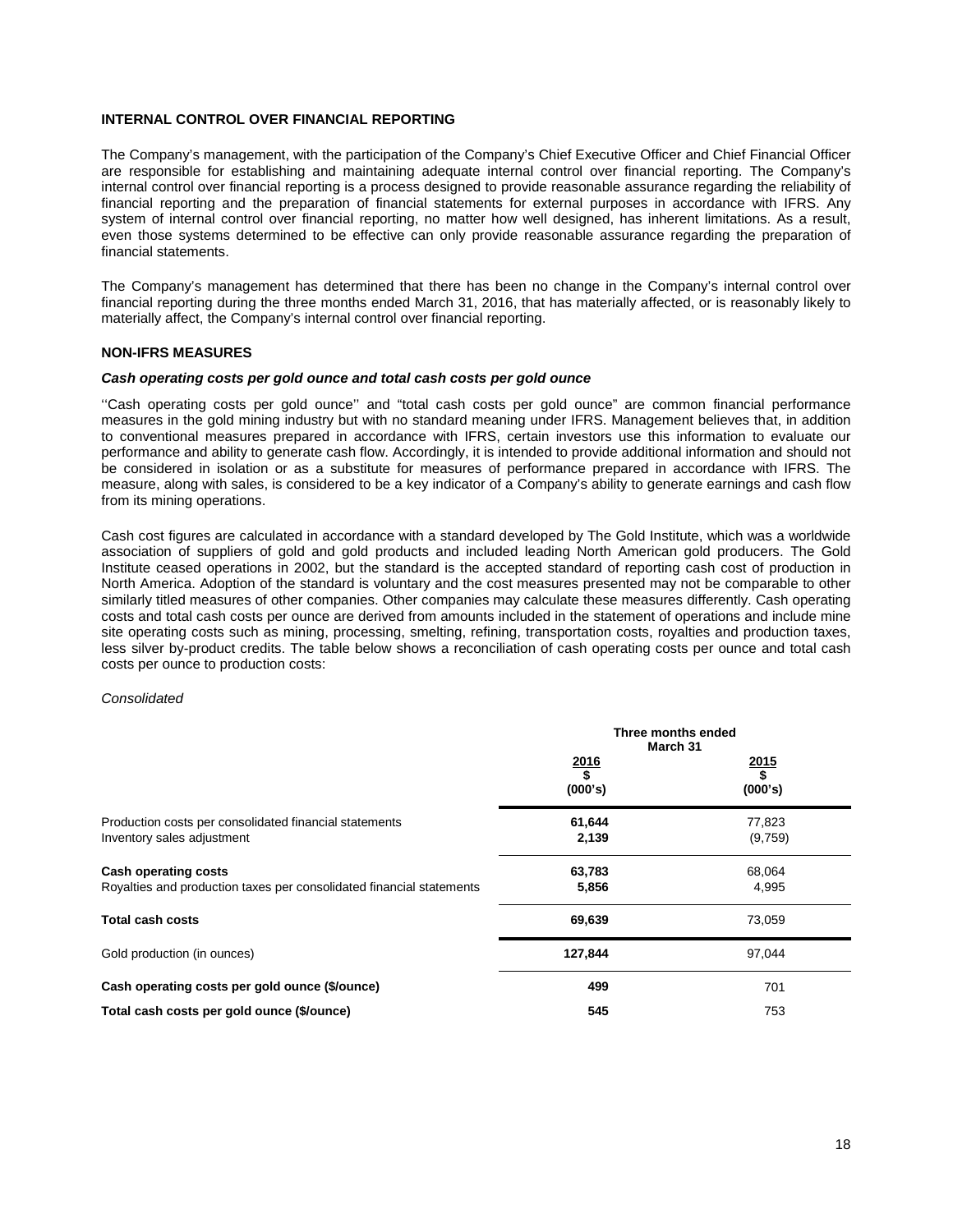## **INTERNAL CONTROL OVER FINANCIAL REPORTING**

The Company's management, with the participation of the Company's Chief Executive Officer and Chief Financial Officer are responsible for establishing and maintaining adequate internal control over financial reporting. The Company's internal control over financial reporting is a process designed to provide reasonable assurance regarding the reliability of financial reporting and the preparation of financial statements for external purposes in accordance with IFRS. Any system of internal control over financial reporting, no matter how well designed, has inherent limitations. As a result, even those systems determined to be effective can only provide reasonable assurance regarding the preparation of financial statements.

The Company's management has determined that there has been no change in the Company's internal control over financial reporting during the three months ended March 31, 2016, that has materially affected, or is reasonably likely to materially affect, the Company's internal control over financial reporting.

### **NON-IFRS MEASURES**

### *Cash operating costs per gold ounce and total cash costs per gold ounce*

''Cash operating costs per gold ounce'' and "total cash costs per gold ounce" are common financial performance measures in the gold mining industry but with no standard meaning under IFRS. Management believes that, in addition to conventional measures prepared in accordance with IFRS, certain investors use this information to evaluate our performance and ability to generate cash flow. Accordingly, it is intended to provide additional information and should not be considered in isolation or as a substitute for measures of performance prepared in accordance with IFRS. The measure, along with sales, is considered to be a key indicator of a Company's ability to generate earnings and cash flow from its mining operations.

Cash cost figures are calculated in accordance with a standard developed by The Gold Institute, which was a worldwide association of suppliers of gold and gold products and included leading North American gold producers. The Gold Institute ceased operations in 2002, but the standard is the accepted standard of reporting cash cost of production in North America. Adoption of the standard is voluntary and the cost measures presented may not be comparable to other similarly titled measures of other companies. Other companies may calculate these measures differently. Cash operating costs and total cash costs per ounce are derived from amounts included in the statement of operations and include mine site operating costs such as mining, processing, smelting, refining, transportation costs, royalties and production taxes, less silver by-product credits. The table below shows a reconciliation of cash operating costs per ounce and total cash costs per ounce to production costs:

### *Consolidated*

|                                                                                                     | Three months ended<br>March 31 |                              |  |
|-----------------------------------------------------------------------------------------------------|--------------------------------|------------------------------|--|
|                                                                                                     | $\frac{2016}{$}$<br>(000's)    | $\frac{2015}{\$}$<br>(000's) |  |
| Production costs per consolidated financial statements<br>Inventory sales adjustment                | 61,644<br>2,139                | 77,823<br>(9,759)            |  |
| <b>Cash operating costs</b><br>Royalties and production taxes per consolidated financial statements | 63,783<br>5,856                | 68,064<br>4,995              |  |
| <b>Total cash costs</b>                                                                             | 69,639                         | 73,059                       |  |
| Gold production (in ounces)                                                                         | 127,844                        | 97,044                       |  |
| Cash operating costs per gold ounce (\$/ounce)                                                      | 499                            | 701                          |  |
| Total cash costs per gold ounce (\$/ounce)                                                          | 545                            | 753                          |  |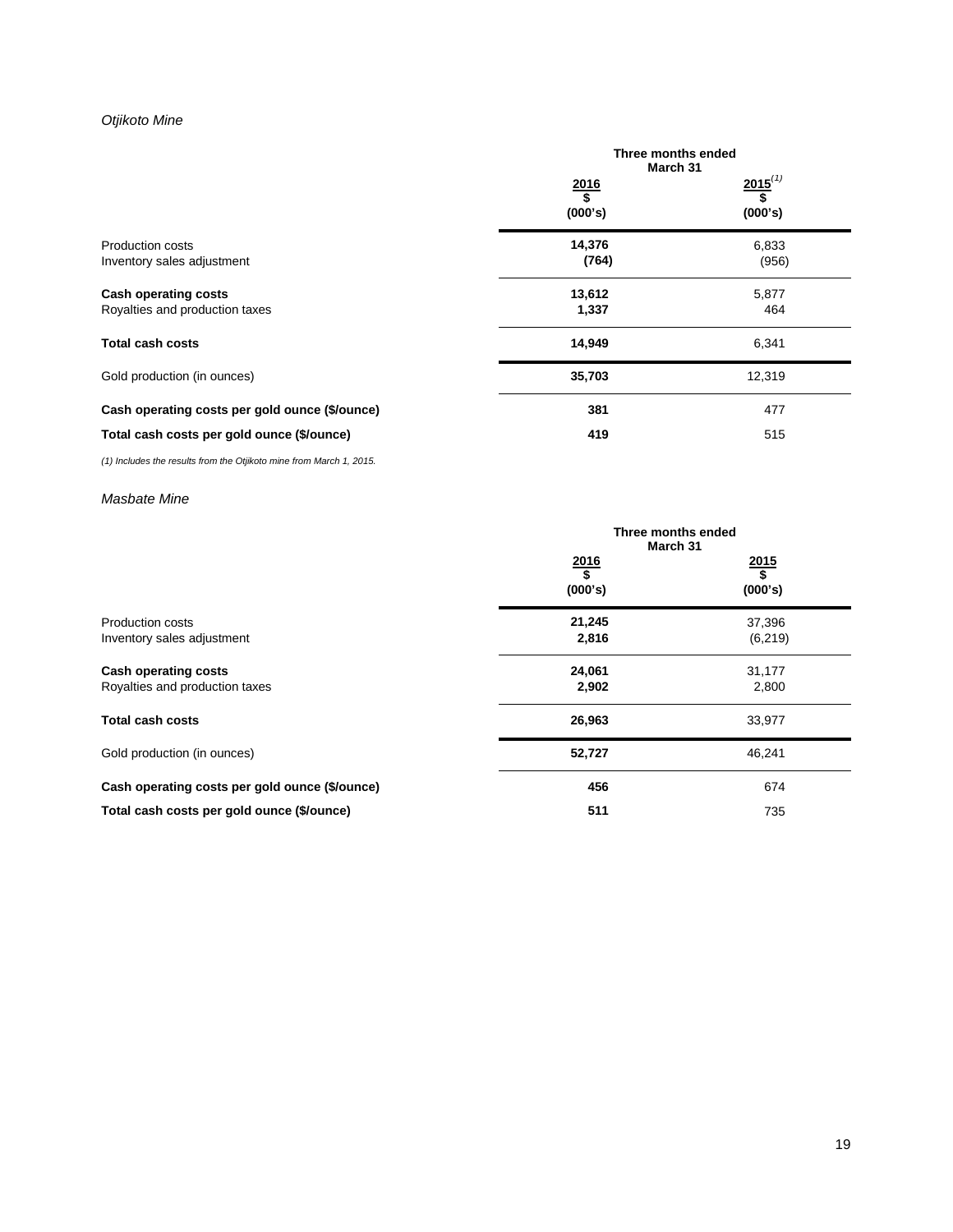# *Otjikoto Mine*

|                                                               | Three months ended<br>March 31 |                               |  |  |
|---------------------------------------------------------------|--------------------------------|-------------------------------|--|--|
|                                                               | 2016<br>\$<br>(000's)          | $2015^{(1)}$<br>\$<br>(000's) |  |  |
| <b>Production costs</b><br>Inventory sales adjustment         | 14,376<br>(764)                | 6,833<br>(956)                |  |  |
| <b>Cash operating costs</b><br>Royalties and production taxes | 13,612<br>1,337                | 5,877<br>464                  |  |  |
| <b>Total cash costs</b>                                       | 14,949                         | 6,341                         |  |  |
| Gold production (in ounces)                                   | 35,703                         | 12,319                        |  |  |
| Cash operating costs per gold ounce (\$/ounce)                | 381                            | 477                           |  |  |
| Total cash costs per gold ounce (\$/ounce)                    | 419                            | 515                           |  |  |

*(1) Includes the results from the Otjikoto mine from March 1, 2015.*

## *Masbate Mine*

|                                                               | Three months ended<br>March 31 |                       |
|---------------------------------------------------------------|--------------------------------|-----------------------|
|                                                               | $\frac{2016}{$}$<br>(000's)    | 2015<br>\$<br>(000's) |
| Production costs<br>Inventory sales adjustment                | 21,245<br>2,816                | 37,396<br>(6, 219)    |
| <b>Cash operating costs</b><br>Royalties and production taxes | 24,061<br>2,902                | 31,177<br>2,800       |
| <b>Total cash costs</b>                                       | 26,963                         | 33,977                |
| Gold production (in ounces)                                   | 52,727                         | 46,241                |
| Cash operating costs per gold ounce (\$/ounce)                | 456                            | 674                   |
| Total cash costs per gold ounce (\$/ounce)                    | 511                            | 735                   |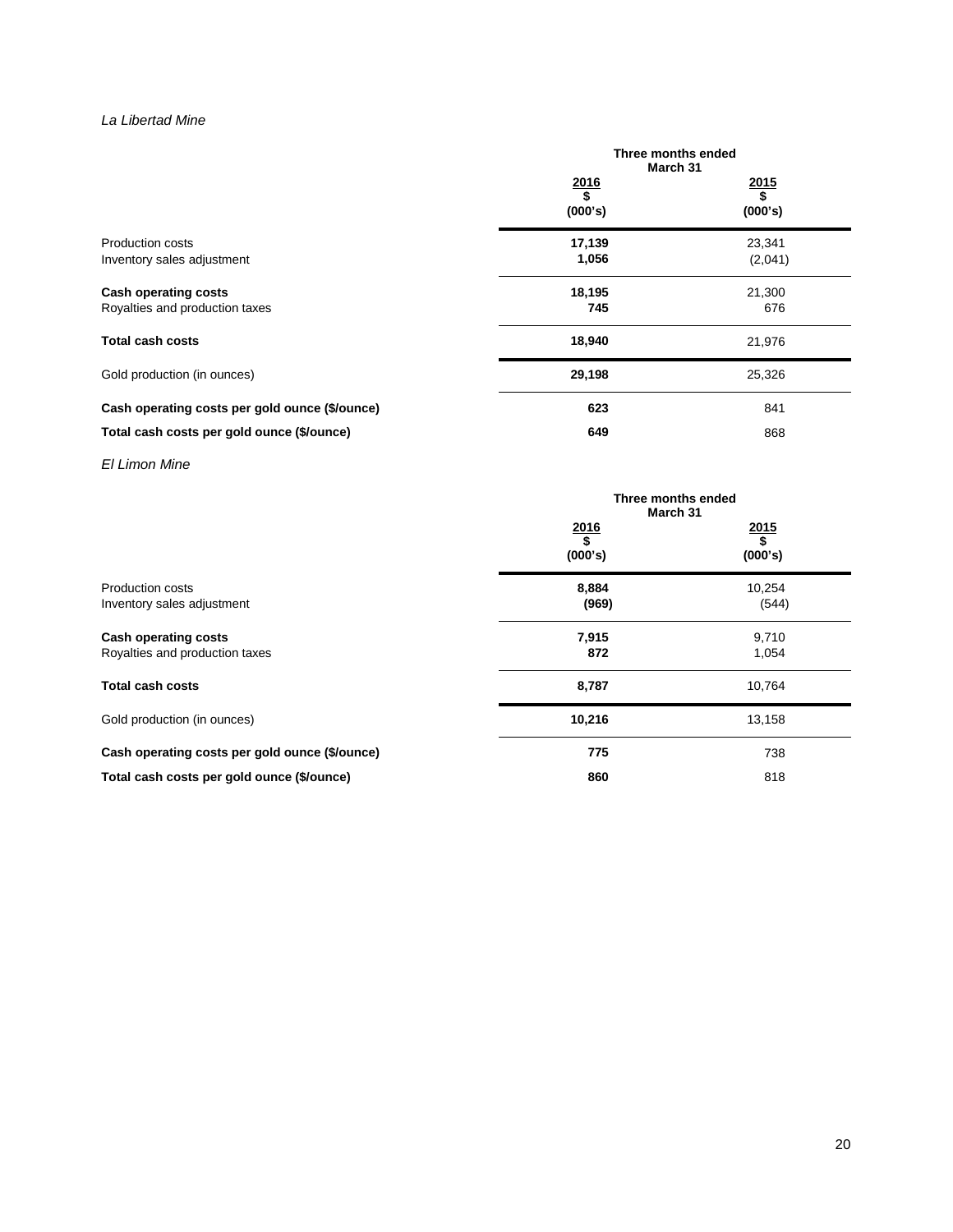# *La Libertad Mine*

|                                                        | Three months ended<br>March 31 |                             |
|--------------------------------------------------------|--------------------------------|-----------------------------|
|                                                        | $\frac{2016}{\$}$<br>(000's)   | $\frac{2015}{$}$<br>(000's) |
| <b>Production costs</b><br>Inventory sales adjustment  | 17,139<br>1,056                | 23,341<br>(2,041)           |
| Cash operating costs<br>Royalties and production taxes | 18,195<br>745                  | 21,300<br>676               |
| <b>Total cash costs</b>                                | 18,940                         | 21,976                      |
| Gold production (in ounces)                            | 29,198                         | 25,326                      |
| Cash operating costs per gold ounce (\$/ounce)         | 623                            | 841                         |
| Total cash costs per gold ounce (\$/ounce)             | 649                            | 868                         |

*El Limon Mine*

|                                                               | Three months ended<br>March 31 |                              |
|---------------------------------------------------------------|--------------------------------|------------------------------|
|                                                               | $\frac{2016}{$}$<br>(000's)    | $\frac{2015}{\$}$<br>(000's) |
| Production costs<br>Inventory sales adjustment                | 8,884<br>(969)                 | 10,254<br>(544)              |
| <b>Cash operating costs</b><br>Royalties and production taxes | 7,915<br>872                   | 9,710<br>1,054               |
| <b>Total cash costs</b>                                       | 8,787                          | 10,764                       |
| Gold production (in ounces)                                   | 10,216                         | 13,158                       |
| Cash operating costs per gold ounce (\$/ounce)                | 775                            | 738                          |
| Total cash costs per gold ounce (\$/ounce)                    | 860                            | 818                          |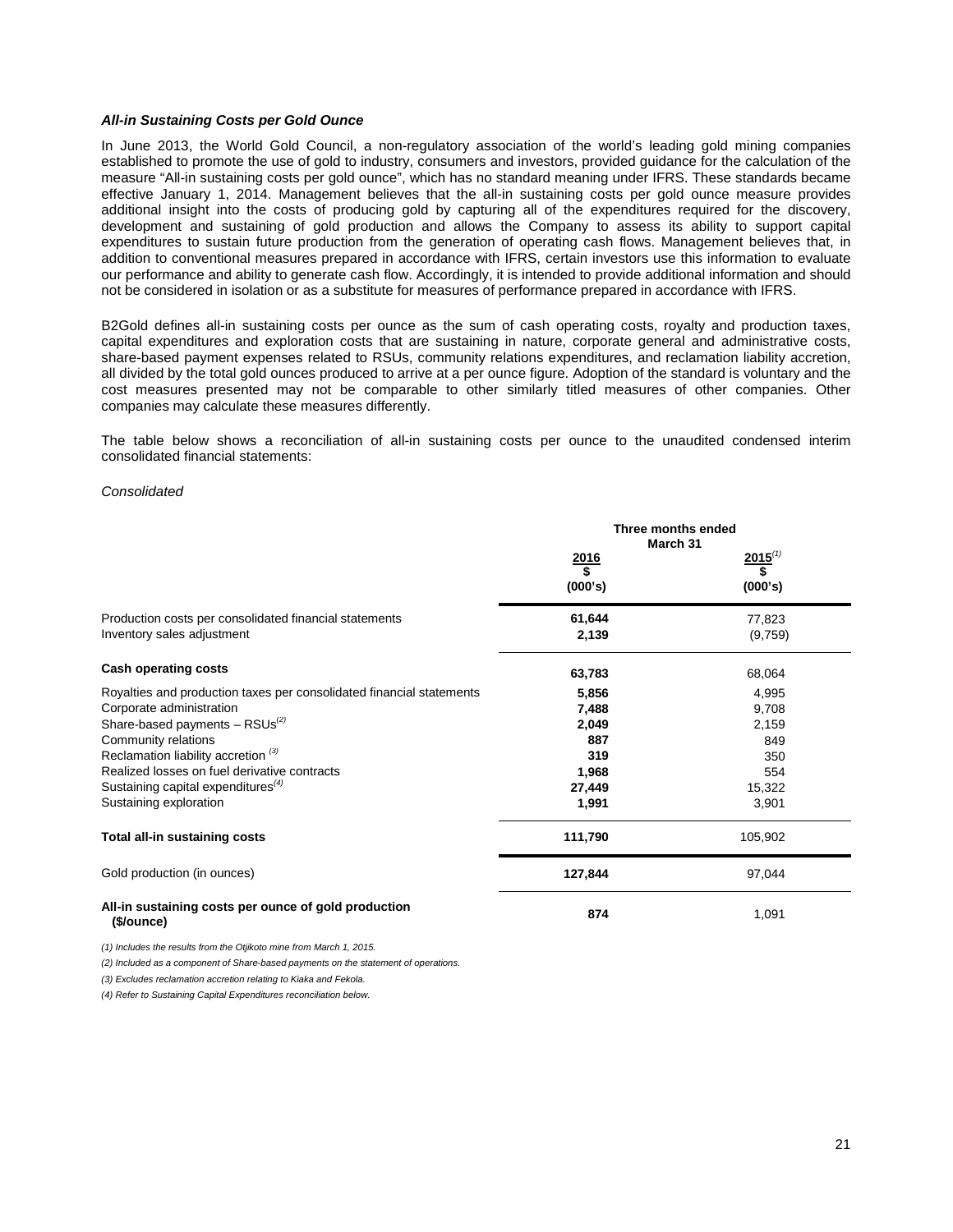### *All-in Sustaining Costs per Gold Ounce*

In June 2013, the World Gold Council, a non-regulatory association of the world's leading gold mining companies established to promote the use of gold to industry, consumers and investors, provided guidance for the calculation of the measure "All-in sustaining costs per gold ounce", which has no standard meaning under IFRS. These standards became effective January 1, 2014. Management believes that the all-in sustaining costs per gold ounce measure provides additional insight into the costs of producing gold by capturing all of the expenditures required for the discovery, development and sustaining of gold production and allows the Company to assess its ability to support capital expenditures to sustain future production from the generation of operating cash flows. Management believes that, in addition to conventional measures prepared in accordance with IFRS, certain investors use this information to evaluate our performance and ability to generate cash flow. Accordingly, it is intended to provide additional information and should not be considered in isolation or as a substitute for measures of performance prepared in accordance with IFRS.

B2Gold defines all-in sustaining costs per ounce as the sum of cash operating costs, royalty and production taxes, capital expenditures and exploration costs that are sustaining in nature, corporate general and administrative costs, share-based payment expenses related to RSUs, community relations expenditures, and reclamation liability accretion, all divided by the total gold ounces produced to arrive at a per ounce figure. Adoption of the standard is voluntary and the cost measures presented may not be comparable to other similarly titled measures of other companies. Other companies may calculate these measures differently.

The table below shows a reconciliation of all-in sustaining costs per ounce to the unaudited condensed interim consolidated financial statements:

### *Consolidated*

|                                                                      | Three months ended<br>March 31 |              |
|----------------------------------------------------------------------|--------------------------------|--------------|
|                                                                      | $\frac{2016}{s}$               | $2015^{(1)}$ |
|                                                                      | (000's)                        | (000's)      |
| Production costs per consolidated financial statements               | 61,644                         | 77,823       |
| Inventory sales adjustment                                           | 2,139                          | (9,759)      |
| <b>Cash operating costs</b>                                          | 63,783                         | 68,064       |
| Royalties and production taxes per consolidated financial statements | 5,856                          | 4,995        |
| Corporate administration                                             | 7,488                          | 9,708        |
| Share-based payments $-$ RSUs <sup>(2)</sup>                         | 2,049                          | 2,159        |
| Community relations                                                  | 887                            | 849          |
| Reclamation liability accretion <sup>(3)</sup>                       | 319                            | 350          |
| Realized losses on fuel derivative contracts                         | 1,968                          | 554          |
| Sustaining capital expenditures $(4)$                                | 27,449                         | 15,322       |
| Sustaining exploration                                               | 1,991                          | 3,901        |
| Total all-in sustaining costs                                        | 111,790                        | 105,902      |
| Gold production (in ounces)                                          | 127,844                        | 97,044       |
| All-in sustaining costs per ounce of gold production<br>(\$/ounce)   | 874                            | 1,091        |

*(1) Includes the results from the Otjikoto mine from March 1, 2015.*

*(2) Included as a component of Share-based payments on the statement of operations.* 

*(3) Excludes reclamation accretion relating to Kiaka and Fekola.*

*(4) Refer to Sustaining Capital Expenditures reconciliation below.*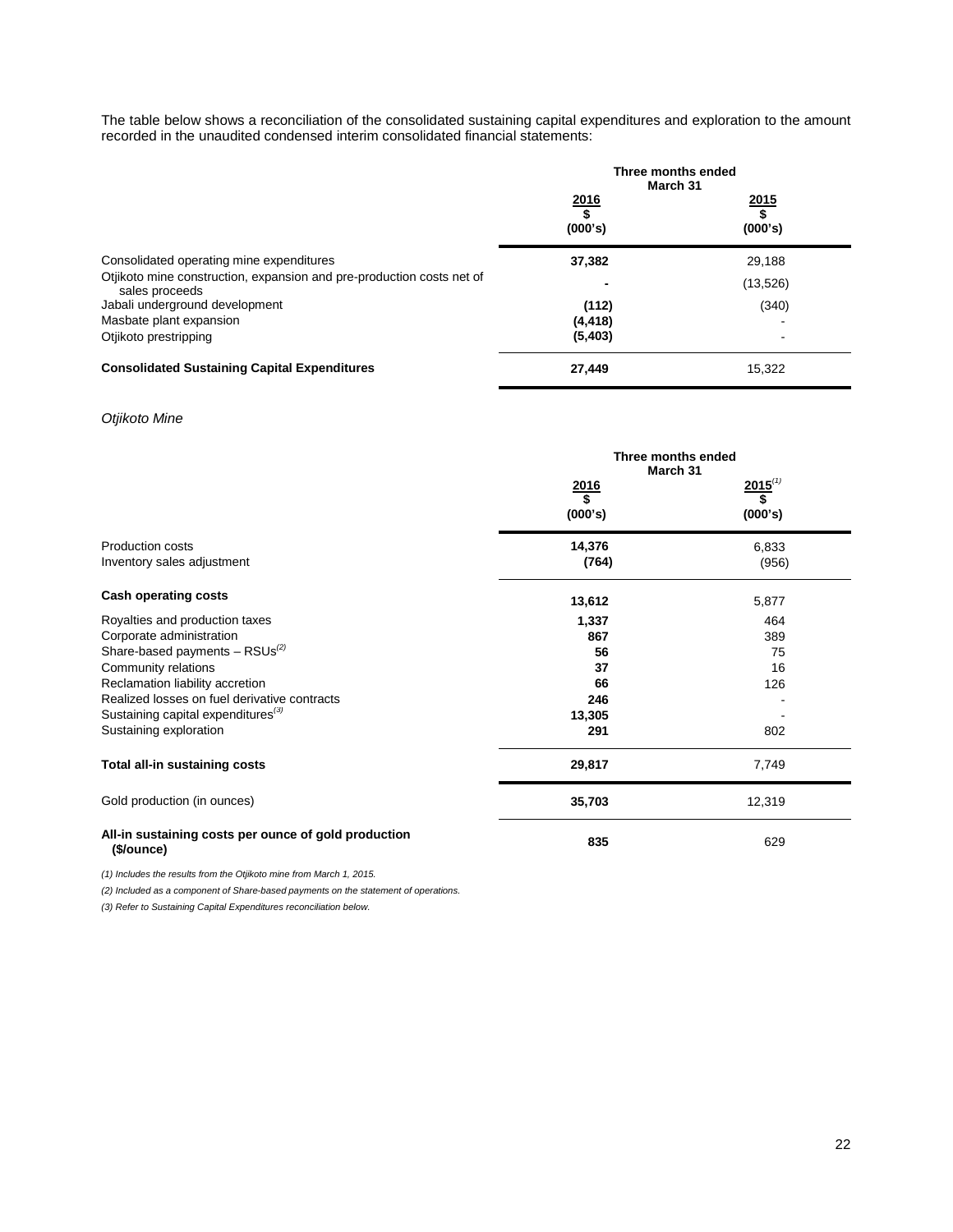The table below shows a reconciliation of the consolidated sustaining capital expenditures and exploration to the amount recorded in the unaudited condensed interim consolidated financial statements:

|                                                                                         |                             | Three months ended<br>March 31 |  |
|-----------------------------------------------------------------------------------------|-----------------------------|--------------------------------|--|
|                                                                                         | $\frac{2016}{$}$<br>(000's) | 2015<br>\$<br>(000's)          |  |
| Consolidated operating mine expenditures                                                | 37,382                      | 29,188                         |  |
| Otjikoto mine construction, expansion and pre-production costs net of<br>sales proceeds |                             | (13, 526)                      |  |
| Jabali underground development                                                          | (112)                       | (340)                          |  |
| Masbate plant expansion                                                                 | (4, 418)                    |                                |  |
| Otjikoto prestripping                                                                   | (5,403)                     |                                |  |
| <b>Consolidated Sustaining Capital Expenditures</b>                                     | 27,449                      | 15,322                         |  |

# *Otjikoto Mine*

|                                                                    | Three months ended<br>March 31 |                    |
|--------------------------------------------------------------------|--------------------------------|--------------------|
|                                                                    | $\frac{2016}{$}$               | $2015^{(1)}$<br>\$ |
|                                                                    | (000's)                        | (000's)            |
| <b>Production costs</b>                                            | 14,376                         | 6,833              |
| Inventory sales adjustment                                         | (764)                          | (956)              |
| <b>Cash operating costs</b>                                        | 13,612                         | 5,877              |
| Royalties and production taxes                                     | 1,337                          | 464                |
| Corporate administration                                           | 867                            | 389                |
| Share-based payments $-$ RSUs <sup>(2)</sup>                       | 56                             | 75                 |
| Community relations                                                | 37                             | 16                 |
| Reclamation liability accretion                                    | 66                             | 126                |
| Realized losses on fuel derivative contracts                       | 246                            |                    |
| Sustaining capital expenditures <sup>(3)</sup>                     | 13,305                         |                    |
| Sustaining exploration                                             | 291                            | 802                |
| Total all-in sustaining costs                                      | 29,817                         | 7,749              |
| Gold production (in ounces)                                        | 35,703                         | 12,319             |
| All-in sustaining costs per ounce of gold production<br>(\$/ounce) | 835                            | 629                |

*(1) Includes the results from the Otjikoto mine from March 1, 2015.*

*(2) Included as a component of Share-based payments on the statement of operations.* 

*(3) Refer to Sustaining Capital Expenditures reconciliation below.*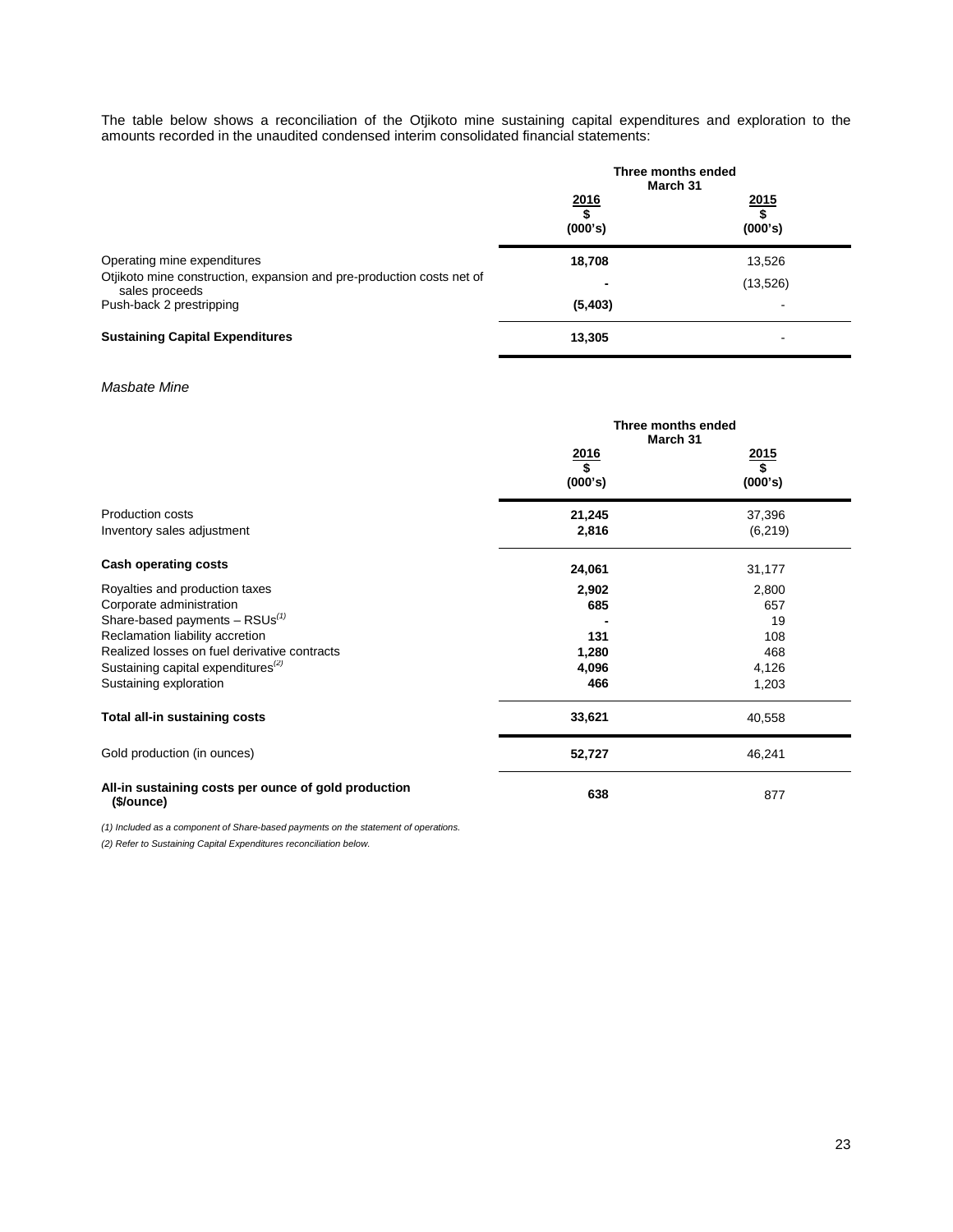The table below shows a reconciliation of the Otjikoto mine sustaining capital expenditures and exploration to the amounts recorded in the unaudited condensed interim consolidated financial statements:

|                                                                                         | Three months ended<br>March 31 |                       |
|-----------------------------------------------------------------------------------------|--------------------------------|-----------------------|
|                                                                                         | 2016<br>\$<br>(000's)          | 2015<br>\$<br>(000's) |
| Operating mine expenditures                                                             | 18,708                         | 13,526                |
| Otjikoto mine construction, expansion and pre-production costs net of<br>sales proceeds |                                | (13, 526)             |
| Push-back 2 prestripping                                                                | (5,403)                        |                       |
| <b>Sustaining Capital Expenditures</b>                                                  | 13,305                         |                       |

# *Masbate Mine*

|                                                                    | Three months ended<br>March 31   |               |
|--------------------------------------------------------------------|----------------------------------|---------------|
|                                                                    | $\frac{2016}{$}$<br><u> 2015</u> |               |
|                                                                    | (000's)                          | \$<br>(000's) |
| Production costs                                                   | 21,245                           | 37,396        |
| Inventory sales adjustment                                         | 2,816                            | (6, 219)      |
| <b>Cash operating costs</b>                                        | 24,061                           | 31,177        |
| Royalties and production taxes                                     | 2,902                            | 2,800         |
| Corporate administration                                           | 685                              | 657           |
| Share-based payments $-$ RSUs <sup>(1)</sup>                       |                                  | 19            |
| Reclamation liability accretion                                    | 131                              | 108           |
| Realized losses on fuel derivative contracts                       | 1,280                            | 468           |
| Sustaining capital expenditures <sup>(2)</sup>                     | 4,096                            | 4,126         |
| Sustaining exploration                                             | 466                              | 1,203         |
| Total all-in sustaining costs                                      | 33,621                           | 40,558        |
| Gold production (in ounces)                                        | 52,727                           | 46,241        |
| All-in sustaining costs per ounce of gold production<br>(\$/ounce) | 638                              | 877           |

*(1) Included as a component of Share-based payments on the statement of operations.*

*(2) Refer to Sustaining Capital Expenditures reconciliation below.*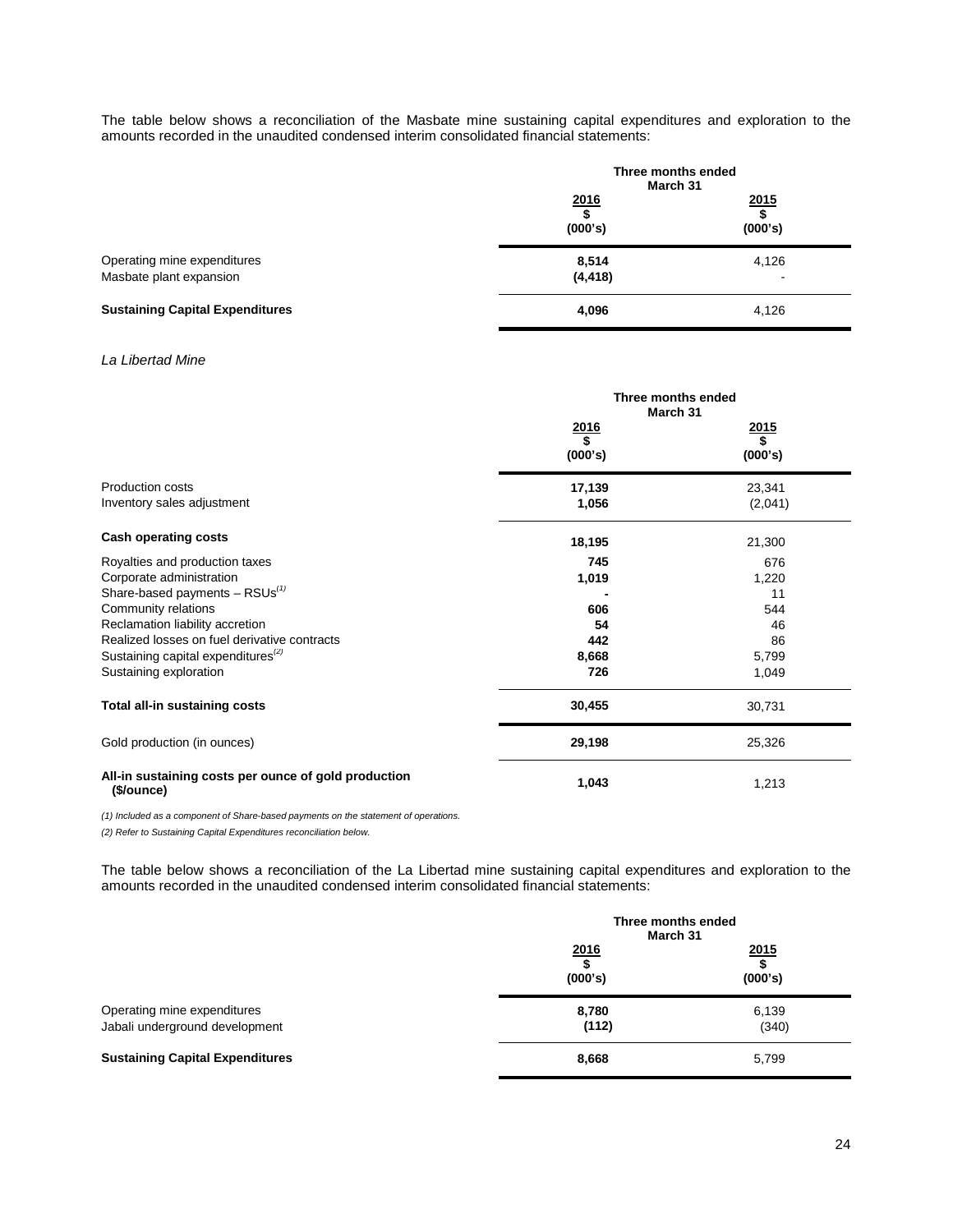The table below shows a reconciliation of the Masbate mine sustaining capital expenditures and exploration to the amounts recorded in the unaudited condensed interim consolidated financial statements:

|                                                        | Three months ended<br>March 31 |                       |
|--------------------------------------------------------|--------------------------------|-----------------------|
|                                                        | 2016<br>\$<br>(000's)          | 2015<br>\$<br>(000's) |
| Operating mine expenditures<br>Masbate plant expansion | 8,514<br>(4, 418)              | 4,126<br>-            |
| <b>Sustaining Capital Expenditures</b>                 | 4,096                          | 4,126                 |

# *La Libertad Mine*

|                                                                    | Three months ended<br>March 31 |         |
|--------------------------------------------------------------------|--------------------------------|---------|
|                                                                    | <u>2016</u>                    | 2015    |
|                                                                    | \$<br>(000's)                  | (000's) |
| <b>Production costs</b>                                            | 17,139                         | 23,341  |
| Inventory sales adjustment                                         | 1,056                          | (2,041) |
| <b>Cash operating costs</b>                                        | 18,195                         | 21,300  |
| Royalties and production taxes                                     | 745                            | 676     |
| Corporate administration                                           | 1,019                          | 1,220   |
| Share-based payments $-$ RSUs <sup>(1)</sup>                       |                                | 11      |
| Community relations                                                | 606                            | 544     |
| Reclamation liability accretion                                    | 54                             | 46      |
| Realized losses on fuel derivative contracts                       | 442                            | 86      |
| Sustaining capital expenditures <sup>(2)</sup>                     | 8,668                          | 5,799   |
| Sustaining exploration                                             | 726                            | 1,049   |
| Total all-in sustaining costs                                      | 30,455                         | 30,731  |
| Gold production (in ounces)                                        | 29,198                         | 25,326  |
| All-in sustaining costs per ounce of gold production<br>(\$/ounce) | 1,043                          | 1,213   |

*(1) Included as a component of Share-based payments on the statement of operations.*

*(2) Refer to Sustaining Capital Expenditures reconciliation below.* 

The table below shows a reconciliation of the La Libertad mine sustaining capital expenditures and exploration to the amounts recorded in the unaudited condensed interim consolidated financial statements:

|                                                               | Three months ended<br>March 31 |                              |
|---------------------------------------------------------------|--------------------------------|------------------------------|
|                                                               | $\frac{2016}{$}$<br>(000's)    | $\frac{2015}{\$}$<br>(000's) |
| Operating mine expenditures<br>Jabali underground development | 8,780<br>(112)                 | 6,139<br>(340)               |
| <b>Sustaining Capital Expenditures</b>                        | 8,668                          | 5,799                        |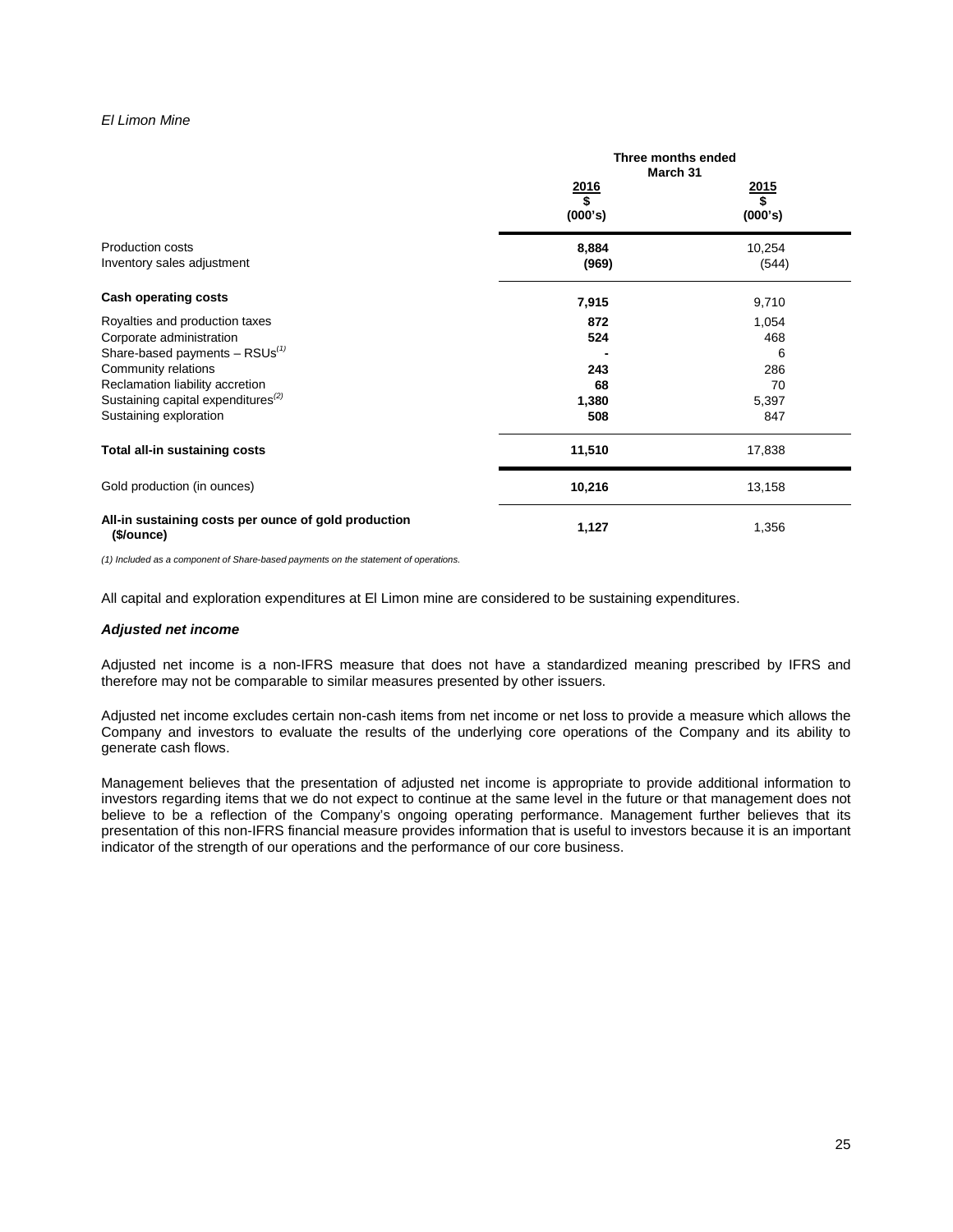## *El Limon Mine*

|                                                                    | Three months ended<br>March 31 |                   |
|--------------------------------------------------------------------|--------------------------------|-------------------|
|                                                                    | $\frac{2016}{$}$               | $\frac{2015}{\$}$ |
|                                                                    | (000's)                        | (000's)           |
| Production costs                                                   | 8,884                          | 10,254            |
| Inventory sales adjustment                                         | (969)                          | (544)             |
| <b>Cash operating costs</b>                                        | 7,915                          | 9,710             |
| Royalties and production taxes                                     | 872                            | 1,054             |
| Corporate administration                                           | 524                            | 468               |
| Share-based payments $-$ RSUs <sup>(1)</sup>                       |                                | 6                 |
| Community relations                                                | 243                            | 286               |
| Reclamation liability accretion                                    | 68                             | 70                |
| Sustaining capital expenditures <sup>(2)</sup>                     | 1,380                          | 5,397             |
| Sustaining exploration                                             | 508                            | 847               |
| Total all-in sustaining costs                                      | 11,510                         | 17,838            |
| Gold production (in ounces)                                        | 10,216                         | 13,158            |
| All-in sustaining costs per ounce of gold production<br>(\$/ounce) | 1,127                          | 1,356             |

*(1) Included as a component of Share-based payments on the statement of operations.*

All capital and exploration expenditures at El Limon mine are considered to be sustaining expenditures.

#### *Adjusted net income*

Adjusted net income is a non-IFRS measure that does not have a standardized meaning prescribed by IFRS and therefore may not be comparable to similar measures presented by other issuers.

Adjusted net income excludes certain non-cash items from net income or net loss to provide a measure which allows the Company and investors to evaluate the results of the underlying core operations of the Company and its ability to generate cash flows.

Management believes that the presentation of adjusted net income is appropriate to provide additional information to investors regarding items that we do not expect to continue at the same level in the future or that management does not believe to be a reflection of the Company's ongoing operating performance. Management further believes that its presentation of this non-IFRS financial measure provides information that is useful to investors because it is an important indicator of the strength of our operations and the performance of our core business.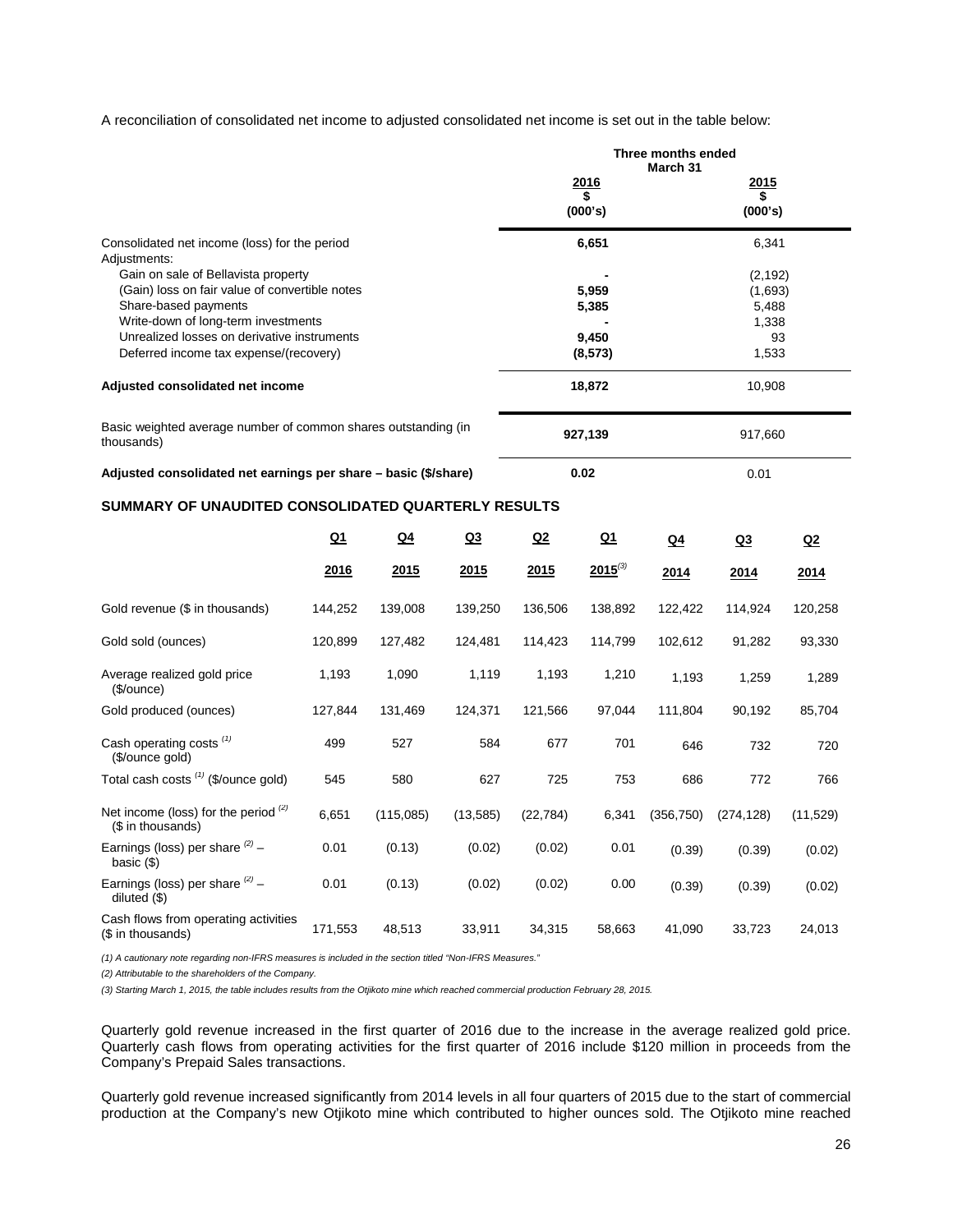A reconciliation of consolidated net income to adjusted consolidated net income is set out in the table below:

|                                                                                                                                                                                                                                               |                |               |                | Three months ended<br>March 31      |              |                                                      |                |           |
|-----------------------------------------------------------------------------------------------------------------------------------------------------------------------------------------------------------------------------------------------|----------------|---------------|----------------|-------------------------------------|--------------|------------------------------------------------------|----------------|-----------|
|                                                                                                                                                                                                                                               |                |               |                | 2016<br>(000's)                     |              | <u> 2015</u><br>\$<br>(000's)                        |                |           |
| Consolidated net income (loss) for the period<br>Adjustments:                                                                                                                                                                                 |                |               |                | 6,651                               |              | 6,341                                                |                |           |
| Gain on sale of Bellavista property<br>(Gain) loss on fair value of convertible notes<br>Share-based payments<br>Write-down of long-term investments<br>Unrealized losses on derivative instruments<br>Deferred income tax expense/(recovery) |                |               |                | 5,959<br>5,385<br>9,450<br>(8, 573) |              | (2, 192)<br>(1,693)<br>5,488<br>1,338<br>93<br>1,533 |                |           |
| Adjusted consolidated net income                                                                                                                                                                                                              |                |               |                | 18,872                              |              |                                                      | 10,908         |           |
| Basic weighted average number of common shares outstanding (in<br>thousands)                                                                                                                                                                  |                |               |                | 927,139                             |              | 917,660                                              |                |           |
| Adjusted consolidated net earnings per share – basic (\$/share)                                                                                                                                                                               |                |               |                | 0.02                                |              | 0.01                                                 |                |           |
| SUMMARY OF UNAUDITED CONSOLIDATED QUARTERLY RESULTS                                                                                                                                                                                           |                |               |                |                                     |              |                                                      |                |           |
|                                                                                                                                                                                                                                               | Q <sub>1</sub> | <u>Q4</u>     | Q <sub>3</sub> | Q2                                  | $Q_1$        | <u>Q4</u>                                            | Q <sub>3</sub> | <u>Q2</u> |
|                                                                                                                                                                                                                                               | <u> 2016</u>   | <u> 2015 </u> | <u> 2015</u>   | <u> 2015</u>                        | $2015^{(3)}$ | 2014                                                 | 2014           | 2014      |
| Gold revenue (\$ in thousands)                                                                                                                                                                                                                | 144,252        | 139,008       | 139,250        | 136,506                             | 138,892      | 122,422                                              | 114,924        | 120,258   |
| Gold sold (ounces)                                                                                                                                                                                                                            | 120,899        | 127,482       | 124,481        | 114,423                             | 114,799      | 102,612                                              | 91,282         | 93,330    |
| Average realized gold price<br>( <i>\$</i> /ounce)                                                                                                                                                                                            | 1,193          | 1,090         | 1,119          | 1,193                               | 1,210        | 1,193                                                | 1,259          | 1,289     |
| Gold produced (ounces)                                                                                                                                                                                                                        | 127,844        | 131,469       | 124,371        | 121,566                             | 97,044       | 111,804                                              | 90,192         | 85,704    |
| Cash operating costs <sup>(1)</sup><br>(\$/ounce gold)                                                                                                                                                                                        | 499            | 527           | 584            | 677                                 | 701          | 646                                                  | 732            | 720       |
| Total cash costs (1) (\$/ounce gold)                                                                                                                                                                                                          | 545            | 580           | 627            | 725                                 | 753          | 686                                                  | 772            | 766       |
| Net income (loss) for the period $(2)$<br>(\$ in thousands)                                                                                                                                                                                   | 6,651          | (115,085)     | (13, 585)      | (22, 784)                           | 6,341        | (356, 750)                                           | (274, 128)     | (11, 529) |
| Earnings (loss) per share $(2)$ -<br>basic $($)$                                                                                                                                                                                              | 0.01           | (0.13)        | (0.02)         | (0.02)                              | 0.01         | (0.39)                                               | (0.39)         | (0.02)    |
| Earnings (loss) per share $(2)$ -<br>diluted(S)                                                                                                                                                                                               | 0.01           | (0.13)        | (0.02)         | (0.02)                              | 0.00         | (0.39)                                               | (0.39)         | (0.02)    |

*(1) A cautionary note regarding non-IFRS measures is included in the section titled "Non-IFRS Measures."* 

*(2) Attributable to the shareholders of the Company.*

Cash flows from operating activities

*(3) Starting March 1, 2015, the table includes results from the Otjikoto mine which reached commercial production February 28, 2015.*

Quarterly gold revenue increased in the first quarter of 2016 due to the increase in the average realized gold price. Quarterly cash flows from operating activities for the first quarter of 2016 include \$120 million in proceeds from the Company's Prepaid Sales transactions.

Gash hows non-operating activities 171,553 48,513 33,911 34,315 58,663 41,090 33,723 24,013

Quarterly gold revenue increased significantly from 2014 levels in all four quarters of 2015 due to the start of commercial production at the Company's new Otjikoto mine which contributed to higher ounces sold. The Otjikoto mine reached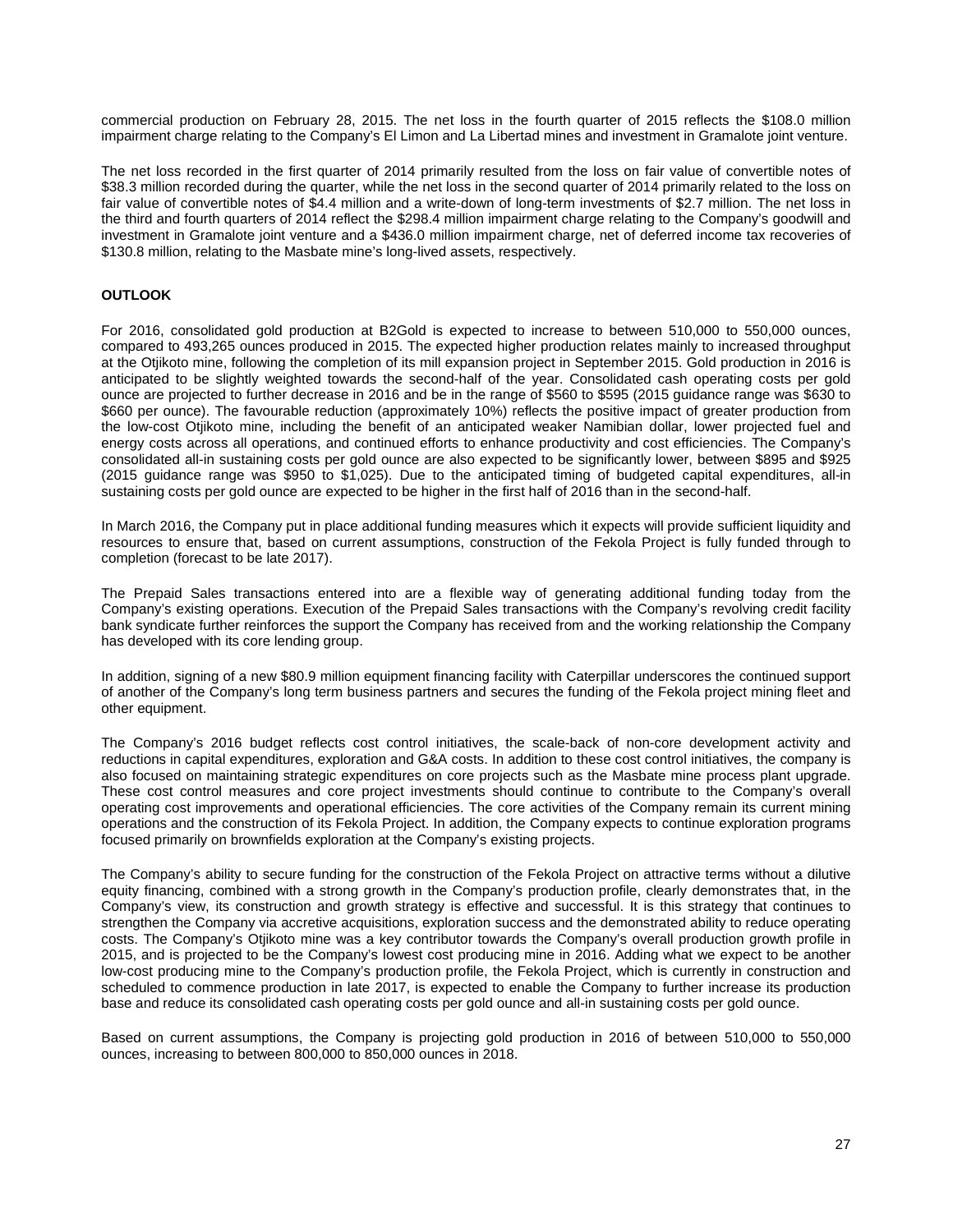commercial production on February 28, 2015. The net loss in the fourth quarter of 2015 reflects the \$108.0 million impairment charge relating to the Company's El Limon and La Libertad mines and investment in Gramalote joint venture.

The net loss recorded in the first quarter of 2014 primarily resulted from the loss on fair value of convertible notes of \$38.3 million recorded during the quarter, while the net loss in the second quarter of 2014 primarily related to the loss on fair value of convertible notes of \$4.4 million and a write-down of long-term investments of \$2.7 million. The net loss in the third and fourth quarters of 2014 reflect the \$298.4 million impairment charge relating to the Company's goodwill and investment in Gramalote joint venture and a \$436.0 million impairment charge, net of deferred income tax recoveries of \$130.8 million, relating to the Masbate mine's long-lived assets, respectively.

# **OUTLOOK**

For 2016, consolidated gold production at B2Gold is expected to increase to between 510,000 to 550,000 ounces, compared to 493,265 ounces produced in 2015. The expected higher production relates mainly to increased throughput at the Otjikoto mine, following the completion of its mill expansion project in September 2015. Gold production in 2016 is anticipated to be slightly weighted towards the second-half of the year. Consolidated cash operating costs per gold ounce are projected to further decrease in 2016 and be in the range of \$560 to \$595 (2015 guidance range was \$630 to \$660 per ounce). The favourable reduction (approximately 10%) reflects the positive impact of greater production from the low-cost Otjikoto mine, including the benefit of an anticipated weaker Namibian dollar, lower projected fuel and energy costs across all operations, and continued efforts to enhance productivity and cost efficiencies. The Company's consolidated all-in sustaining costs per gold ounce are also expected to be significantly lower, between \$895 and \$925 (2015 guidance range was \$950 to \$1,025). Due to the anticipated timing of budgeted capital expenditures, all-in sustaining costs per gold ounce are expected to be higher in the first half of 2016 than in the second-half.

In March 2016, the Company put in place additional funding measures which it expects will provide sufficient liquidity and resources to ensure that, based on current assumptions, construction of the Fekola Project is fully funded through to completion (forecast to be late 2017).

The Prepaid Sales transactions entered into are a flexible way of generating additional funding today from the Company's existing operations. Execution of the Prepaid Sales transactions with the Company's revolving credit facility bank syndicate further reinforces the support the Company has received from and the working relationship the Company has developed with its core lending group.

In addition, signing of a new \$80.9 million equipment financing facility with Caterpillar underscores the continued support of another of the Company's long term business partners and secures the funding of the Fekola project mining fleet and other equipment.

The Company's 2016 budget reflects cost control initiatives, the scale-back of non-core development activity and reductions in capital expenditures, exploration and G&A costs. In addition to these cost control initiatives, the company is also focused on maintaining strategic expenditures on core projects such as the Masbate mine process plant upgrade. These cost control measures and core project investments should continue to contribute to the Company's overall operating cost improvements and operational efficiencies. The core activities of the Company remain its current mining operations and the construction of its Fekola Project. In addition, the Company expects to continue exploration programs focused primarily on brownfields exploration at the Company's existing projects.

The Company's ability to secure funding for the construction of the Fekola Project on attractive terms without a dilutive equity financing, combined with a strong growth in the Company's production profile, clearly demonstrates that, in the Company's view, its construction and growth strategy is effective and successful. It is this strategy that continues to strengthen the Company via accretive acquisitions, exploration success and the demonstrated ability to reduce operating costs. The Company's Otjikoto mine was a key contributor towards the Company's overall production growth profile in 2015, and is projected to be the Company's lowest cost producing mine in 2016. Adding what we expect to be another low-cost producing mine to the Company's production profile, the Fekola Project, which is currently in construction and scheduled to commence production in late 2017, is expected to enable the Company to further increase its production base and reduce its consolidated cash operating costs per gold ounce and all-in sustaining costs per gold ounce.

Based on current assumptions, the Company is projecting gold production in 2016 of between 510,000 to 550,000 ounces, increasing to between 800,000 to 850,000 ounces in 2018.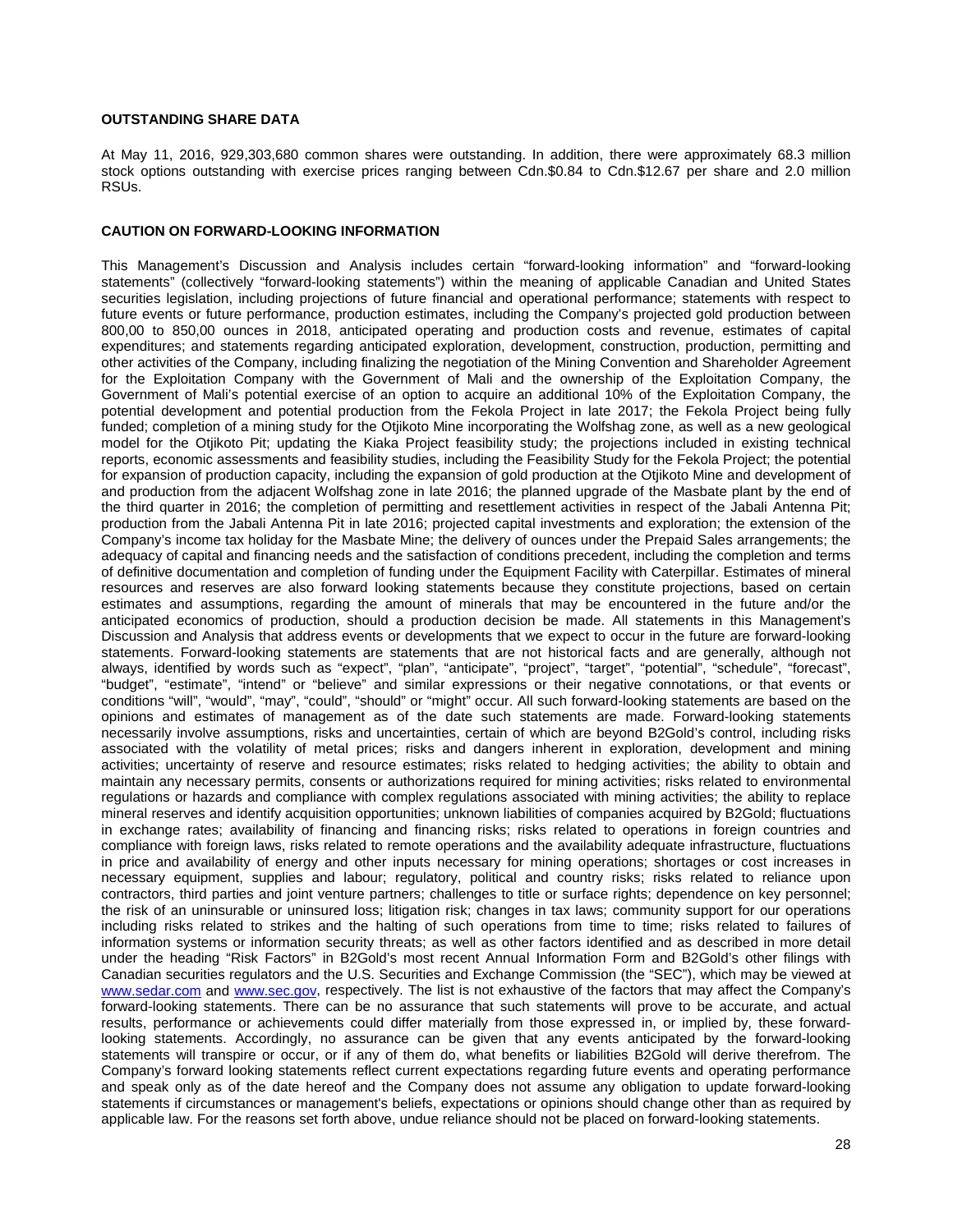## **OUTSTANDING SHARE DATA**

At May 11, 2016, 929,303,680 common shares were outstanding. In addition, there were approximately 68.3 million stock options outstanding with exercise prices ranging between Cdn.\$0.84 to Cdn.\$12.67 per share and 2.0 million RSUs.

## **CAUTION ON FORWARD-LOOKING INFORMATION**

This Management's Discussion and Analysis includes certain "forward-looking information" and "forward-looking statements" (collectively "forward-looking statements") within the meaning of applicable Canadian and United States securities legislation, including projections of future financial and operational performance; statements with respect to future events or future performance, production estimates, including the Company's projected gold production between 800,00 to 850,00 ounces in 2018, anticipated operating and production costs and revenue, estimates of capital expenditures; and statements regarding anticipated exploration, development, construction, production, permitting and other activities of the Company, including finalizing the negotiation of the Mining Convention and Shareholder Agreement for the Exploitation Company with the Government of Mali and the ownership of the Exploitation Company, the Government of Mali's potential exercise of an option to acquire an additional 10% of the Exploitation Company, the potential development and potential production from the Fekola Project in late 2017; the Fekola Project being fully funded; completion of a mining study for the Otjikoto Mine incorporating the Wolfshag zone, as well as a new geological model for the Otjikoto Pit; updating the Kiaka Project feasibility study; the projections included in existing technical reports, economic assessments and feasibility studies, including the Feasibility Study for the Fekola Project; the potential for expansion of production capacity, including the expansion of gold production at the Otjikoto Mine and development of and production from the adjacent Wolfshag zone in late 2016; the planned upgrade of the Masbate plant by the end of the third quarter in 2016; the completion of permitting and resettlement activities in respect of the Jabali Antenna Pit; production from the Jabali Antenna Pit in late 2016; projected capital investments and exploration; the extension of the Company's income tax holiday for the Masbate Mine; the delivery of ounces under the Prepaid Sales arrangements; the adequacy of capital and financing needs and the satisfaction of conditions precedent, including the completion and terms of definitive documentation and completion of funding under the Equipment Facility with Caterpillar. Estimates of mineral resources and reserves are also forward looking statements because they constitute projections, based on certain estimates and assumptions, regarding the amount of minerals that may be encountered in the future and/or the anticipated economics of production, should a production decision be made. All statements in this Management's Discussion and Analysis that address events or developments that we expect to occur in the future are forward-looking statements. Forward-looking statements are statements that are not historical facts and are generally, although not always, identified by words such as "expect", "plan", "anticipate", "project", "target", "potential", "schedule", "forecast", "budget", "estimate", "intend" or "believe" and similar expressions or their negative connotations, or that events or conditions "will", "would", "may", "could", "should" or "might" occur. All such forward-looking statements are based on the opinions and estimates of management as of the date such statements are made. Forward-looking statements necessarily involve assumptions, risks and uncertainties, certain of which are beyond B2Gold's control, including risks associated with the volatility of metal prices; risks and dangers inherent in exploration, development and mining activities; uncertainty of reserve and resource estimates; risks related to hedging activities; the ability to obtain and maintain any necessary permits, consents or authorizations required for mining activities; risks related to environmental regulations or hazards and compliance with complex regulations associated with mining activities; the ability to replace mineral reserves and identify acquisition opportunities; unknown liabilities of companies acquired by B2Gold; fluctuations in exchange rates; availability of financing and financing risks; risks related to operations in foreign countries and compliance with foreign laws, risks related to remote operations and the availability adequate infrastructure, fluctuations in price and availability of energy and other inputs necessary for mining operations; shortages or cost increases in necessary equipment, supplies and labour; regulatory, political and country risks; risks related to reliance upon contractors, third parties and joint venture partners; challenges to title or surface rights; dependence on key personnel; the risk of an uninsurable or uninsured loss; litigation risk; changes in tax laws; community support for our operations including risks related to strikes and the halting of such operations from time to time; risks related to failures of information systems or information security threats; as well as other factors identified and as described in more detail under the heading "Risk Factors" in B2Gold's most recent Annual Information Form and B2Gold's other filings with Canadian securities regulators and the U.S. Securities and Exchange Commission (the "SEC"), which may be viewed at [www.sedar.com](http://www.sedar.com/) and [www.sec.gov,](http://www.sec.gov/) respectively. The list is not exhaustive of the factors that may affect the Company's forward-looking statements. There can be no assurance that such statements will prove to be accurate, and actual results, performance or achievements could differ materially from those expressed in, or implied by, these forwardlooking statements. Accordingly, no assurance can be given that any events anticipated by the forward-looking statements will transpire or occur, or if any of them do, what benefits or liabilities B2Gold will derive therefrom. The Company's forward looking statements reflect current expectations regarding future events and operating performance and speak only as of the date hereof and the Company does not assume any obligation to update forward-looking statements if circumstances or management's beliefs, expectations or opinions should change other than as required by applicable law. For the reasons set forth above, undue reliance should not be placed on forward-looking statements.